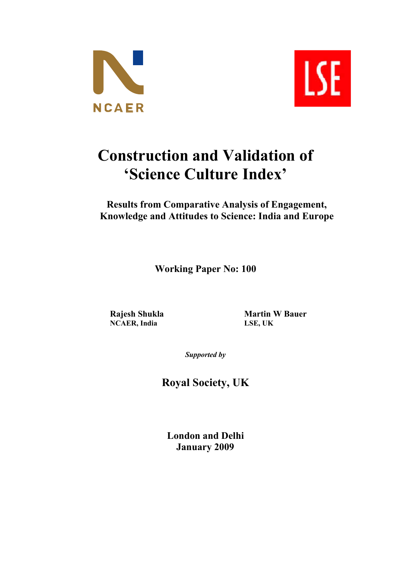



# **Construction and Validation of 'Science Culture Index'**

**Results from Comparative Analysis of Engagement, Knowledge and Attitudes to Science: India and Europe**

**Working Paper No: 100**

 $NCAER$ , **India** 

**Rajesh Shukla**<br> **Martin W Bauer**<br> **MARER**<br> **MARER**<br> **MARER**<br> **MARER**<br> **MARER**<br> **MARER**<br> **MARER**<br> **MARER**<br> **MARER**<br> **MARER** 

*Supported by*

**Royal Society, UK**

**London and Delhi January 2009**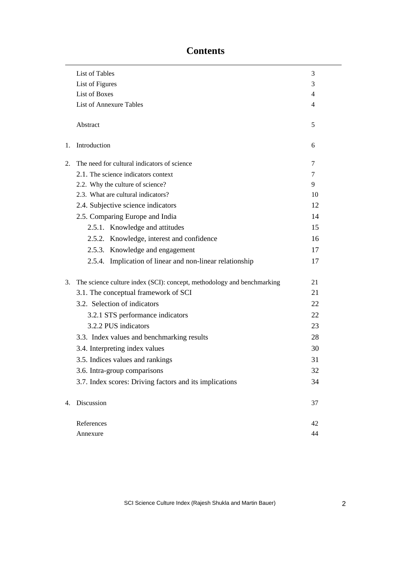# **Contents**

|    | List of Tables                                                         | 3  |
|----|------------------------------------------------------------------------|----|
|    | List of Figures                                                        | 3  |
|    | <b>List of Boxes</b>                                                   | 4  |
|    | <b>List of Annexure Tables</b>                                         | 4  |
|    | Abstract                                                               | 5  |
| 1. | Introduction                                                           | 6  |
| 2. | The need for cultural indicators of science                            | 7  |
|    | 2.1. The science indicators context                                    | 7  |
|    | 2.2. Why the culture of science?                                       | 9  |
|    | 2.3. What are cultural indicators?                                     | 10 |
|    | 2.4. Subjective science indicators                                     | 12 |
|    | 2.5. Comparing Europe and India                                        | 14 |
|    | 2.5.1. Knowledge and attitudes                                         | 15 |
|    | 2.5.2. Knowledge, interest and confidence                              | 16 |
|    | 2.5.3. Knowledge and engagement                                        | 17 |
|    | 2.5.4. Implication of linear and non-linear relationship               | 17 |
| 3. | The science culture index (SCI): concept, methodology and benchmarking | 21 |
|    | 3.1. The conceptual framework of SCI                                   | 21 |
|    | 3.2. Selection of indicators                                           | 22 |
|    | 3.2.1 STS performance indicators                                       | 22 |
|    | 3.2.2 PUS indicators                                                   | 23 |
|    | 3.3. Index values and benchmarking results                             | 28 |
|    | 3.4. Interpreting index values                                         | 30 |
|    | 3.5. Indices values and rankings                                       | 31 |
|    | 3.6. Intra-group comparisons                                           | 32 |
|    | 3.7. Index scores: Driving factors and its implications                | 34 |
| 4. | Discussion                                                             | 37 |
|    | References                                                             | 42 |
|    | Annexure                                                               | 44 |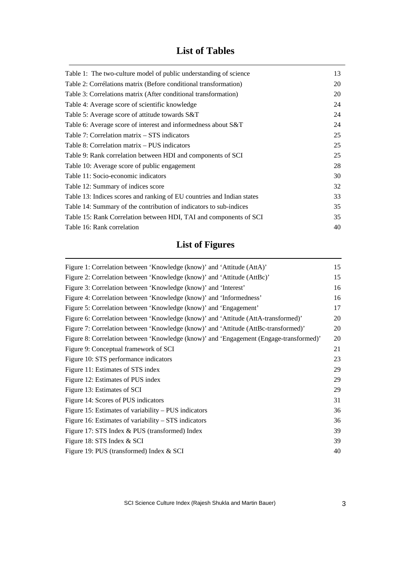# **List of Tables**

| 13<br>20<br>20<br>24<br>24<br>24<br>25<br>25<br>25<br>28<br>30<br>32<br>33<br>35<br>35<br>40 |                                                                        |  |
|----------------------------------------------------------------------------------------------|------------------------------------------------------------------------|--|
|                                                                                              | Table 1: The two-culture model of public understanding of science      |  |
|                                                                                              | Table 2: Corrélations matrix (Before conditional transformation)       |  |
|                                                                                              | Table 3: Correlations matrix (After conditional transformation)        |  |
|                                                                                              | Table 4: Average score of scientific knowledge                         |  |
|                                                                                              | Table 5: Average score of attitude towards S&T                         |  |
|                                                                                              | Table 6: Average score of interest and informedness about S&T          |  |
|                                                                                              | Table 7: Correlation matrix – STS indicators                           |  |
|                                                                                              | Table 8: Correlation matrix – PUS indicators                           |  |
|                                                                                              | Table 9: Rank correlation between HDI and components of SCI            |  |
|                                                                                              | Table 10: Average score of public engagement                           |  |
|                                                                                              | Table 11: Socio-economic indicators                                    |  |
|                                                                                              | Table 12: Summary of indices score                                     |  |
|                                                                                              | Table 13: Indices scores and ranking of EU countries and Indian states |  |
|                                                                                              | Table 14: Summary of the contribution of indicators to sub-indices     |  |
|                                                                                              | Table 15: Rank Correlation between HDI, TAI and components of SCI      |  |
|                                                                                              | Table 16: Rank correlation                                             |  |

# **List of Figures**

| Figure 1: Correlation between 'Knowledge (know)' and 'Attitude (AttA)'                 | 15 |
|----------------------------------------------------------------------------------------|----|
| Figure 2: Correlation between 'Knowledge (know)' and 'Attitude (AttBc)'                | 15 |
| Figure 3: Correlation between 'Knowledge (know)' and 'Interest'                        | 16 |
| Figure 4: Correlation between 'Knowledge (know)' and 'Informedness'                    | 16 |
| Figure 5: Correlation between 'Knowledge (know)' and 'Engagement'                      | 17 |
| Figure 6: Correlation between 'Knowledge (know)' and 'Attitude (AttA-transformed)'     | 20 |
| Figure 7: Correlation between 'Knowledge (know)' and 'Attitude (AttBc-transformed)'    | 20 |
| Figure 8: Correlation between 'Knowledge (know)' and 'Engagement (Engage-transformed)' | 20 |
| Figure 9: Conceptual framework of SCI                                                  | 21 |
| Figure 10: STS performance indicators                                                  | 23 |
| Figure 11: Estimates of STS index                                                      | 29 |
| Figure 12: Estimates of PUS index                                                      | 29 |
| Figure 13: Estimates of SCI                                                            | 29 |
| Figure 14: Scores of PUS indicators                                                    | 31 |
| Figure 15: Estimates of variability – PUS indicators                                   | 36 |
| Figure 16: Estimates of variability – STS indicators                                   | 36 |
| Figure 17: STS Index & PUS (transformed) Index                                         | 39 |
| Figure 18: STS Index & SCI                                                             | 39 |
| Figure 19: PUS (transformed) Index & SCI                                               | 40 |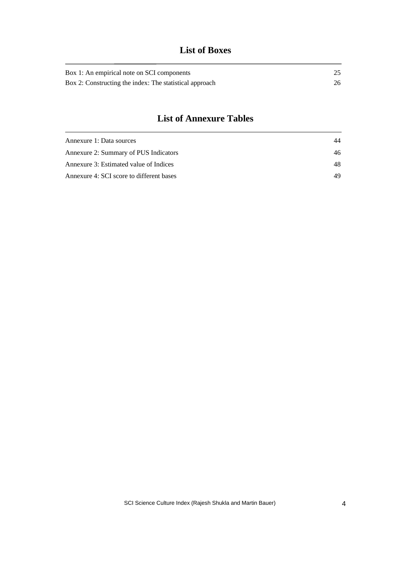# **List of Boxes**

| Box 1: An empirical note on SCI components              |    |
|---------------------------------------------------------|----|
| Box 2: Constructing the index: The statistical approach | 26 |

# **List of Annexure Tables**

| Annexure 1: Data sources                 | 44 |
|------------------------------------------|----|
| Annexure 2: Summary of PUS Indicators    | 46 |
| Annexure 3: Estimated value of Indices   | 48 |
| Annexure 4: SCI score to different bases | 49 |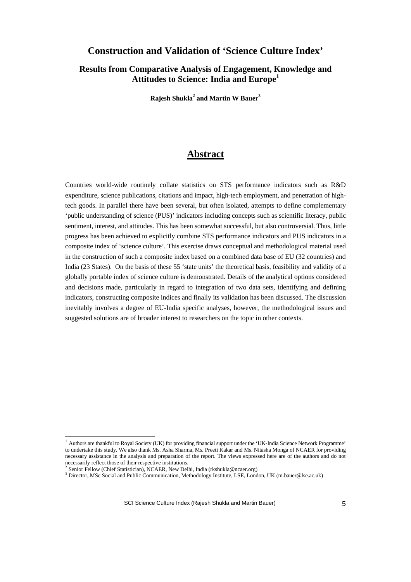# **Construction and Validation of 'Science Culture Index'**

**Results from Comparative Analysis of Engagement, Knowledge and Attitudes to Science: India and Europe<sup>1</sup>**

**Rajesh Shukla<sup>2</sup> and Martin W Bauer<sup>3</sup>**

# **Abstract**

Countries world-wide routinely collate statistics on STS performance indicators such as R&D expenditure, science publications, citations and impact, high-tech employment, and penetration of hightech goods. In parallel there have been several, but often isolated, attempts to define complementary 'public understanding of science (PUS)' indicators including concepts such as scientific literacy, public sentiment, interest, and attitudes. This has been somewhat successful, but also controversial. Thus, little progress has been achieved to explicitly combine STS performance indicators and PUS indicators in a composite index of 'science culture'. This exercise draws conceptual and methodological material used in the construction of such a composite index based on a combined data base of EU (32 countries) and India (23 States). On the basis of these 55 'state units' the theoretical basis, feasibility and validity of a globally portable index of science culture is demonstrated. Details of the analytical options considered and decisions made, particularly in regard to integration of two data sets, identifying and defining indicators, constructing composite indices and finally its validation has been discussed. The discussion inevitably involves a degree of EU-India specific analyses, however, the methodological issues and suggested solutions are of broader interest to researchers on the topic in other contexts.

1

 $<sup>1</sup>$  Authors are thankful to Royal Society (UK) for providing financial support under the 'UK-India Science Network Programme'</sup> to undertake this study. We also thank Ms. Asha Sharma, Ms. Preeti Kakar and Ms. Nitasha Monga of NCAER for providing necessary assistance in the analysis and preparation of the report. The views expressed here are of the authors and do not necessarily reflect those of their respective institutions.<br><sup>2</sup> Septer Follow (Chief Statistician), NCAEP, Now Del

Senior Fellow (Chief Statistician), NCAER, New Delhi, India (rkshukla@ncaer.org)

<sup>&</sup>lt;sup>3</sup> Director, MSc Social and Public Communication, Methodology Institute, LSE, London, UK (m.bauer@lse.ac.uk)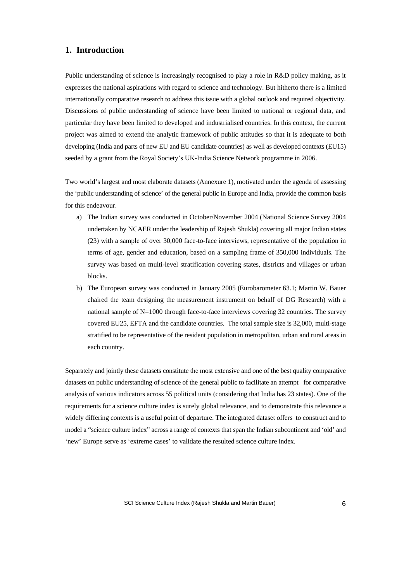# **1. Introduction**

Public understanding of science is increasingly recognised to play a role in R&D policy making, as it expresses the national aspirations with regard to science and technology. But hitherto there is a limited internationally comparative research to address this issue with a global outlook and required objectivity. Discussions of public understanding of science have been limited to national or regional data, and particular they have been limited to developed and industrialised countries. In this context, the current project was aimed to extend the analytic framework of public attitudes so that it is adequate to both developing (India and parts of new EU and EU candidate countries) as well as developed contexts (EU15) seeded by a grant from the Royal Society's UK-India Science Network programme in 2006.

Two world's largest and most elaborate datasets (Annexure 1), motivated under the agenda of assessing the 'public understanding of science' of the general public in Europe and India, provide the common basis for this endeavour.

- a) The Indian survey was conducted in October/November 2004 (National Science Survey 2004 undertaken by NCAER under the leadership of Rajesh Shukla) covering all major Indian states (23) with a sample of over 30,000 face-to-face interviews, representative of the population in terms of age, gender and education, based on a sampling frame of 350,000 individuals. The survey was based on multi-level stratification covering states, districts and villages or urban blocks.
- b) The European survey was conducted in January 2005 (Eurobarometer 63.1; Martin W. Bauer chaired the team designing the measurement instrument on behalf of DG Research) with a national sample of N=1000 through face-to-face interviews covering 32 countries. The survey covered EU25, EFTA and the candidate countries. The total sample size is 32,000, multi-stage stratified to be representative of the resident population in metropolitan, urban and rural areas in each country.

Separately and jointly these datasets constitute the most extensive and one of the best quality comparative datasets on public understanding of science of the general public to facilitate an attempt for comparative analysis of various indicators across 55 political units (considering that India has 23 states). One of the requirements for a science culture index is surely global relevance, and to demonstrate this relevance a widely differing contexts is a useful point of departure. The integrated dataset offers to construct and to model a "science culture index" across a range of contexts that span the Indian subcontinent and 'old' and 'new' Europe serve as 'extreme cases' to validate the resulted science culture index.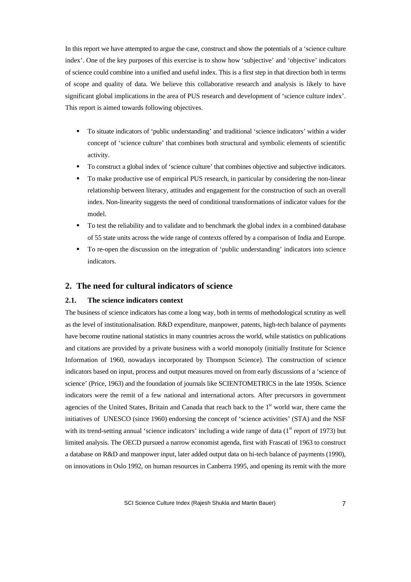In this report we have attempted to argue the case, construct and show the potentials of a 'science culture index'. One of the key purposes of this exercise is to show how 'subjective' and 'objective' indicators of science could combine into a unified and useful index. This is a first step in that direction both in terms of scope and quality of data. We believe this collaborative research and analysis is likely to have significant global implications in the area of PUS research and development of 'science culture index'. This report is aimed towards following objectives.

- ß To situate indicators of 'public understanding' and traditional 'science indicators' within a wider concept of 'science culture' that combines both structural and symbolic elements of scientific activity.
- ß To construct a global index of 'science culture' that combines objective and subjective indicators.
- ß To make productive use of empirical PUS research, in particular by considering the non-linear relationship between literacy, attitudes and engagement for the construction of such an overall index. Non-linearity suggests the need of conditional transformations of indicator values for the model.
- ß To test the reliability and to validate and to benchmark the global index in a combined database of 55 state units across the wide range of contexts offered by a comparison of India and Europe.
- ß To re-open the discussion on the integration of 'public understanding' indicators into science indicators.

### **2. The need for cultural indicators of science**

#### **2.1. The science indicators context**

The business of science indicators has come a long way, both in terms of methodological scrutiny as well as the level of institutionalisation. R&D expenditure, manpower, patents, high-tech balance of payments have become routine national statistics in many countries across the world, while statistics on publications and citations are provided by a private business with a world monopoly (initially Institute for Science Information of 1960, nowadays incorporated by Thompson Science). The construction of science indicators based on input, process and output measures moved on from early discussions of a 'science of science' (Price, 1963) and the foundation of journals like SCIENTOMETRICS in the late 1950s. Science indicators were the remit of a few national and international actors. After precursors in government agencies of the United States, Britain and Canada that reach back to the 1<sup>st</sup> world war, there came the initiatives of UNESCO (since 1960) endorsing the concept of 'science activities' (STA) and the NSF with its trend-setting annual 'science indicators' including a wide range of data ( $1<sup>st</sup>$  report of 1973) but limited analysis. The OECD pursued a narrow economist agenda, first with Frascati of 1963 to construct a database on R&D and manpower input, later added output data on hi-tech balance of payments (1990), on innovations in Oslo 1992, on human resources in Canberra 1995, and opening its remit with the more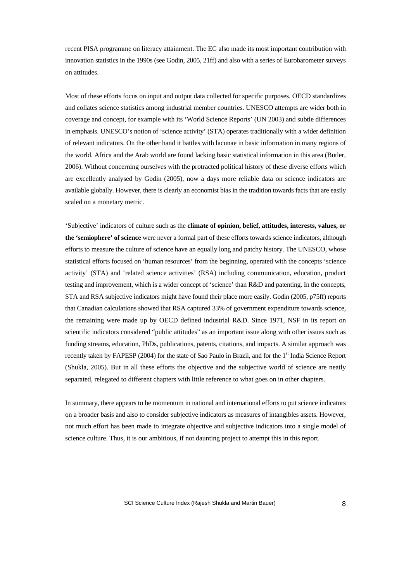recent PISA programme on literacy attainment. The EC also made its most important contribution with innovation statistics in the 1990s (see Godin, 2005, 21ff) and also with a series of Eurobarometer surveys on attitudes.

Most of these efforts focus on input and output data collected for specific purposes. OECD standardizes and collates science statistics among industrial member countries. UNESCO attempts are wider both in coverage and concept, for example with its 'World Science Reports' (UN 2003) and subtle differences in emphasis. UNESCO's notion of 'science activity' (STA) operates traditionally with a wider definition of relevant indicators. On the other hand it battles with lacunae in basic information in many regions of the world. Africa and the Arab world are found lacking basic statistical information in this area (Butler, 2006). Without concerning ourselves with the protracted political history of these diverse efforts which are excellently analysed by Godin (2005), now a days more reliable data on science indicators are available globally. However, there is clearly an economist bias in the tradition towards facts that are easily scaled on a monetary metric.

'Subjective' indicators of culture such as the **climate of opinion, belief, attitudes, interests, values, or the 'semiophere' of science** were never a formal part of these efforts towards science indicators, although efforts to measure the culture of science have an equally long and patchy history. The UNESCO, whose statistical efforts focused on 'human resources' from the beginning, operated with the concepts 'science activity' (STA) and 'related science activities' (RSA) including communication, education, product testing and improvement, which is a wider concept of 'science' than R&D and patenting. In the concepts, STA and RSA subjective indicators might have found their place more easily. Godin (2005, p75ff) reports that Canadian calculations showed that RSA captured 33% of government expenditure towards science, the remaining were made up by OECD defined industrial R&D. Since 1971, NSF in its report on scientific indicators considered "public attitudes" as an important issue along with other issues such as funding streams, education, PhDs, publications, patents, citations, and impacts. A similar approach was recently taken by FAPESP (2004) for the state of Sao Paulo in Brazil, and for the 1<sup>st</sup> India Science Report (Shukla, 2005). But in all these efforts the objective and the subjective world of science are neatly separated, relegated to different chapters with little reference to what goes on in other chapters.

In summary, there appears to be momentum in national and international efforts to put science indicators on a broader basis and also to consider subjective indicators as measures of intangibles assets. However, not much effort has been made to integrate objective and subjective indicators into a single model of science culture. Thus, it is our ambitious, if not daunting project to attempt this in this report.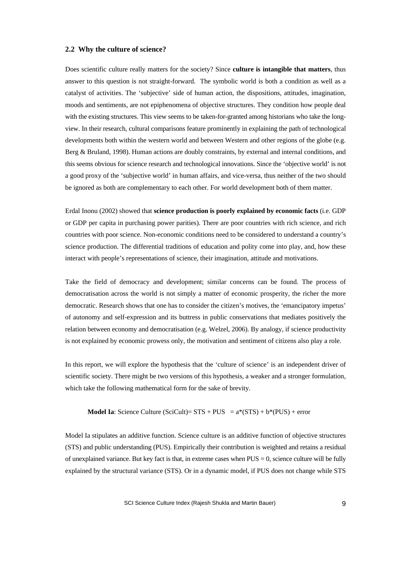#### **2.2 Why the culture of science?**

Does scientific culture really matters for the society? Since **culture is intangible that matters**, thus answer to this question is not straight-forward. The symbolic world is both a condition as well as a catalyst of activities. The 'subjective' side of human action, the dispositions, attitudes, imagination, moods and sentiments, are not epiphenomena of objective structures. They condition how people deal with the existing structures. This view seems to be taken-for-granted among historians who take the longview. In their research, cultural comparisons feature prominently in explaining the path of technological developments both within the western world and between Western and other regions of the globe (e.g. Berg & Bruland, 1998). Human actions are doubly constraints, by external and internal conditions, and this seems obvious for science research and technological innovations. Since the 'objective world' is not a good proxy of the 'subjective world' in human affairs, and vice-versa, thus neither of the two should be ignored as both are complementary to each other. For world development both of them matter.

Erdal Inonu (2002) showed that **science production is poorly explained by economic facts** (i.e. GDP or GDP per capita in purchasing power parities). There are poor countries with rich science, and rich countries with poor science. Non-economic conditions need to be considered to understand a country's science production. The differential traditions of education and polity come into play, and, how these interact with people's representations of science, their imagination, attitude and motivations.

Take the field of democracy and development; similar concerns can be found. The process of democratisation across the world is not simply a matter of economic prosperity, the richer the more democratic. Research shows that one has to consider the citizen's motives, the 'emancipatory impetus' of autonomy and self-expression and its buttress in public conservations that mediates positively the relation between economy and democratisation (e.g. Welzel, 2006). By analogy, if science productivity is not explained by economic prowess only, the motivation and sentiment of citizens also play a role.

In this report, we will explore the hypothesis that the 'culture of science' is an independent driver of scientific society. There might be two versions of this hypothesis, a weaker and a stronger formulation, which take the following mathematical form for the sake of brevity.

#### **Model Ia**: Science Culture (SciCult)=  $STS + PUS = a*(STS) + b*(PUS) + error$

Model Ia stipulates an additive function. Science culture is an additive function of objective structures (STS) and public understanding (PUS). Empirically their contribution is weighted and retains a residual of unexplained variance. But key fact is that, in extreme cases when  $PUS = 0$ , science culture will be fully explained by the structural variance (STS). Or in a dynamic model, if PUS does not change while STS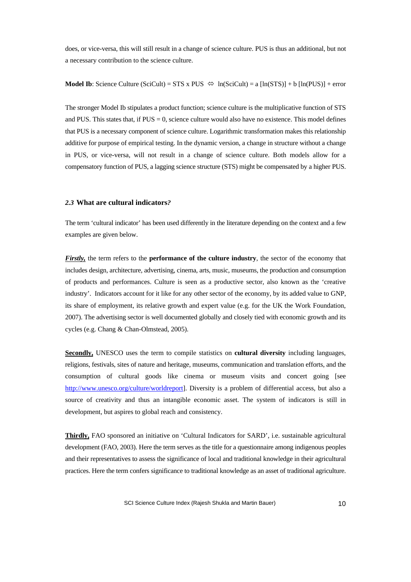does, or vice-versa, this will still result in a change of science culture. PUS is thus an additional, but not a necessary contribution to the science culture.

**Model Ib**: Science Culture (SciCult) = STS x PUS  $\Leftrightarrow$  ln(SciCult) = a [ln(STS)] + b [ln(PUS)] + error

The stronger Model Ib stipulates a product function; science culture is the multiplicative function of STS and PUS. This states that, if  $PUS = 0$ , science culture would also have no existence. This model defines that PUS is a necessary component of science culture. Logarithmic transformation makes this relationship additive for purpose of empirical testing. In the dynamic version, a change in structure without a change in PUS, or vice-versa, will not result in a change of science culture. Both models allow for a compensatory function of PUS, a lagging science structure (STS) might be compensated by a higher PUS.

#### *2.3* **What are cultural indicators***?*

The term 'cultural indicator' has been used differently in the literature depending on the context and a few examples are given below.

*Firstly,* the term refers to the **performance of the culture industry**, the sector of the economy that includes design, architecture, advertising, cinema, arts, music, museums, the production and consumption of products and performances. Culture is seen as a productive sector, also known as the 'creative industry'. Indicators account for it like for any other sector of the economy, by its added value to GNP, its share of employment, its relative growth and expert value (e.g. for the UK the Work Foundation, 2007). The advertising sector is well documented globally and closely tied with economic growth and its cycles (e.g. Chang & Chan-Olmstead, 2005).

**Secondly,** UNESCO uses the term to compile statistics on **cultural diversity** including languages, religions, festivals, sites of nature and heritage, museums, communication and translation efforts, and the consumption of cultural goods like cinema or museum visits and concert going [see http://www.unesco.org/culture/worldreport]. Diversity is a problem of differential access, but also a source of creativity and thus an intangible economic asset. The system of indicators is still in development, but aspires to global reach and consistency.

**Thirdly,** FAO sponsored an initiative on 'Cultural Indicators for SARD', i.e. sustainable agricultural development (FAO, 2003). Here the term serves as the title for a questionnaire among indigenous peoples and their representatives to assess the significance of local and traditional knowledge in their agricultural practices. Here the term confers significance to traditional knowledge as an asset of traditional agriculture.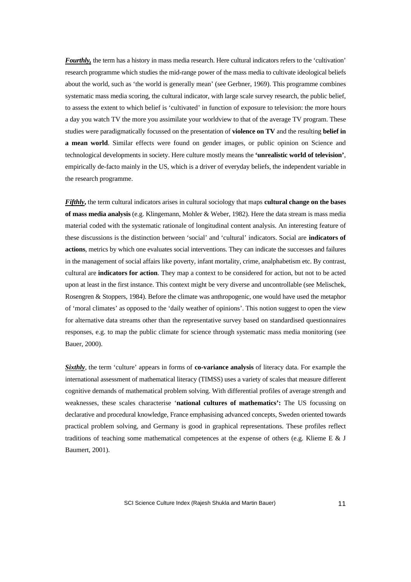*Fourthly,* the term has a history in mass media research. Here cultural indicators refers to the 'cultivation' research programme which studies the mid-range power of the mass media to cultivate ideological beliefs about the world, such as 'the world is generally mean' (see Gerbner, 1969). This programme combines systematic mass media scoring, the cultural indicator, with large scale survey research, the public belief, to assess the extent to which belief is 'cultivated' in function of exposure to television: the more hours a day you watch TV the more you assimilate your worldview to that of the average TV program. These studies were paradigmatically focussed on the presentation of **violence on TV** and the resulting **belief in a mean world**. Similar effects were found on gender images, or public opinion on Science and technological developments in society. Here culture mostly means the **'unrealistic world of television'**, empirically de-facto mainly in the US, which is a driver of everyday beliefs, the independent variable in the research programme.

*Fifthly***,** the term cultural indicators arises in cultural sociology that maps **cultural change on the bases of mass media analysis** (e.g. Klingemann, Mohler & Weber, 1982). Here the data stream is mass media material coded with the systematic rationale of longitudinal content analysis. An interesting feature of these discussions is the distinction between 'social' and 'cultural' indicators. Social are **indicators of actions**, metrics by which one evaluates social interventions. They can indicate the successes and failures in the management of social affairs like poverty, infant mortality, crime, analphabetism etc. By contrast, cultural are **indicators for action**. They map a context to be considered for action, but not to be acted upon at least in the first instance. This context might be very diverse and uncontrollable (see Melischek, Rosengren & Stoppers, 1984). Before the climate was anthropogenic, one would have used the metaphor of 'moral climates' as opposed to the 'daily weather of opinions'. This notion suggest to open the view for alternative data streams other than the representative survey based on standardised questionnaires responses, e.g. to map the public climate for science through systematic mass media monitoring (see Bauer, 2000).

*Sixthly*, the term 'culture' appears in forms of **co-variance analysis** of literacy data. For example the international assessment of mathematical literacy (TIMSS) uses a variety of scales that measure different cognitive demands of mathematical problem solving. With differential profiles of average strength and weaknesses, these scales characterise '**national cultures of mathematics':** The US focussing on declarative and procedural knowledge, France emphasising advanced concepts, Sweden oriented towards practical problem solving, and Germany is good in graphical representations. These profiles reflect traditions of teaching some mathematical competences at the expense of others (e.g. Klieme E  $\&$  J Baumert, 2001).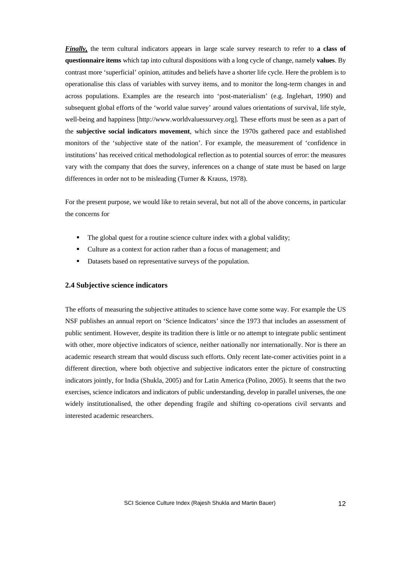*Finally,* the term cultural indicators appears in large scale survey research to refer to **a class of questionnaire items** which tap into cultural dispositions with a long cycle of change, namely **values**. By contrast more 'superficial' opinion, attitudes and beliefs have a shorter life cycle. Here the problem is to operationalise this class of variables with survey items, and to monitor the long-term changes in and across populations. Examples are the research into 'post-materialism' (e.g. Inglehart, 1990) and subsequent global efforts of the 'world value survey' around values orientations of survival, life style, well-being and happiness [http://www.worldvaluessurvey.org]. These efforts must be seen as a part of the **subjective social indicators movement**, which since the 1970s gathered pace and established monitors of the 'subjective state of the nation'. For example, the measurement of 'confidence in institutions' has received critical methodological reflection as to potential sources of error: the measures vary with the company that does the survey, inferences on a change of state must be based on large differences in order not to be misleading (Turner & Krauss, 1978).

For the present purpose, we would like to retain several, but not all of the above concerns, in particular the concerns for

- The global quest for a routine science culture index with a global validity;
- ß Culture as a context for action rather than a focus of management; and
- Datasets based on representative surveys of the population.

#### **2.4 Subjective science indicators**

The efforts of measuring the subjective attitudes to science have come some way. For example the US NSF publishes an annual report on 'Science Indicators' since the 1973 that includes an assessment of public sentiment. However, despite its tradition there is little or no attempt to integrate public sentiment with other, more objective indicators of science, neither nationally nor internationally. Nor is there an academic research stream that would discuss such efforts. Only recent late-comer activities point in a different direction, where both objective and subjective indicators enter the picture of constructing indicators jointly, for India (Shukla, 2005) and for Latin America (Polino, 2005). It seems that the two exercises, science indicators and indicators of public understanding, develop in parallel universes, the one widely institutionalised, the other depending fragile and shifting co-operations civil servants and interested academic researchers.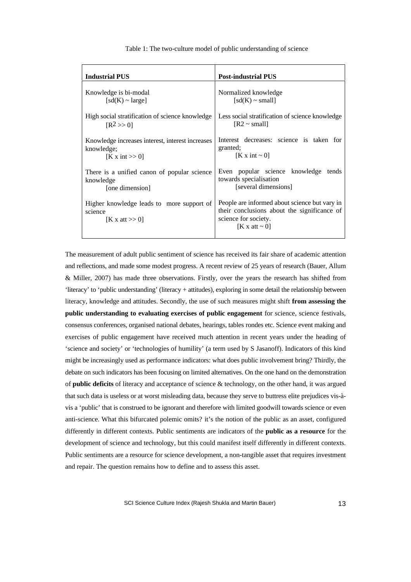|  | Table 1: The two-culture model of public understanding of science |  |  |  |  |
|--|-------------------------------------------------------------------|--|--|--|--|
|  |                                                                   |  |  |  |  |

| <b>Industrial PUS</b>                                                       | <b>Post-industrial PUS</b>                                                                                                                 |
|-----------------------------------------------------------------------------|--------------------------------------------------------------------------------------------------------------------------------------------|
| Knowledge is bi-modal                                                       | Normalized knowledge                                                                                                                       |
| $[sd(K) \sim large]$                                                        | $[sd(K) \sim small]$                                                                                                                       |
| High social stratification of science knowledge                             | Less social stratification of science knowledge                                                                                            |
| $[R^2 >> 0]$                                                                | $[R2 \sim small]$                                                                                                                          |
| Knowledge increases interest, interest increases                            | Interest decreases: science is taken for                                                                                                   |
| knowledge;                                                                  | granted;                                                                                                                                   |
| $K x$ int $\gg 0$                                                           | $[K x int \sim 0]$                                                                                                                         |
| There is a unified canon of popular science<br>knowledge<br>[one dimension] | Even popular science knowledge<br>tends<br>towards specialisation<br>[several dimensions]                                                  |
| Higher knowledge leads to more support of<br>science<br>[K x att $>> 0$ ]   | People are informed about science but vary in<br>their conclusions about the significance of<br>science for society.<br>[K x att $\sim$ 0] |

The measurement of adult public sentiment of science has received its fair share of academic attention and reflections, and made some modest progress. A recent review of 25 years of research (Bauer, Allum & Miller, 2007) has made three observations. Firstly, over the years the research has shifted from 'literacy' to 'public understanding' (literacy + attitudes), exploring in some detail the relationship between literacy, knowledge and attitudes. Secondly, the use of such measures might shift **from assessing the public understanding to evaluating exercises of public engagement** for science, science festivals, consensus conferences, organised national debates, hearings, tables rondes etc. Science event making and exercises of public engagement have received much attention in recent years under the heading of 'science and society' or 'technologies of humility' (a term used by S Jasanoff). Indicators of this kind might be increasingly used as performance indicators: what does public involvement bring? Thirdly, the debate on such indicators has been focusing on limited alternatives. On the one hand on the demonstration of **public deficits** of literacy and acceptance of science & technology, on the other hand, it was argued that such data is useless or at worst misleading data, because they serve to buttress elite prejudices vis-àvis a 'public' that is construed to be ignorant and therefore with limited goodwill towards science or even anti-science. What this bifurcated polemic omits? it's the notion of the public as an asset, configured differently in different contexts. Public sentiments are indicators of the **public as a resource** for the development of science and technology, but this could manifest itself differently in different contexts. Public sentiments are a resource for science development, a non-tangible asset that requires investment and repair. The question remains how to define and to assess this asset.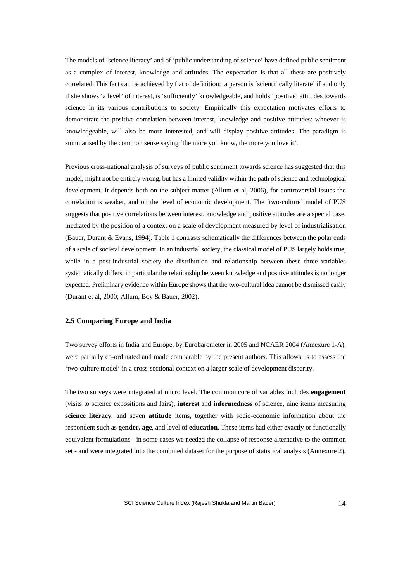The models of 'science literacy' and of 'public understanding of science' have defined public sentiment as a complex of interest, knowledge and attitudes. The expectation is that all these are positively correlated. This fact can be achieved by fiat of definition: a person is 'scientifically literate' if and only if she shows 'a level' of interest, is 'sufficiently' knowledgeable, and holds 'positive' attitudes towards science in its various contributions to society. Empirically this expectation motivates efforts to demonstrate the positive correlation between interest, knowledge and positive attitudes: whoever is knowledgeable, will also be more interested, and will display positive attitudes. The paradigm is summarised by the common sense saying 'the more you know, the more you love it'.

Previous cross-national analysis of surveys of public sentiment towards science has suggested that this model, might not be entirely wrong, but has a limited validity within the path of science and technological development. It depends both on the subject matter (Allum et al, 2006), for controversial issues the correlation is weaker, and on the level of economic development. The 'two-culture' model of PUS suggests that positive correlations between interest, knowledge and positive attitudes are a special case, mediated by the position of a context on a scale of development measured by level of industrialisation (Bauer, Durant & Evans, 1994). Table 1 contrasts schematically the differences between the polar ends of a scale of societal development. In an industrial society, the classical model of PUS largely holds true, while in a post-industrial society the distribution and relationship between these three variables systematically differs, in particular the relationship between knowledge and positive attitudes is no longer expected. Preliminary evidence within Europe shows that the two-cultural idea cannot be dismissed easily (Durant et al, 2000; Allum, Boy & Bauer, 2002).

#### **2.5 Comparing Europe and India**

Two survey efforts in India and Europe, by Eurobarometer in 2005 and NCAER 2004 (Annexure 1-A), were partially co-ordinated and made comparable by the present authors. This allows us to assess the 'two-culture model' in a cross-sectional context on a larger scale of development disparity.

The two surveys were integrated at micro level. The common core of variables includes **engagement** (visits to science expositions and fairs), **interest** and **informedness** of science, nine items measuring **science literacy**, and seven **attitude** items, together with socio-economic information about the respondent such as **gender, age**, and level of **education**. These items had either exactly or functionally equivalent formulations - in some cases we needed the collapse of response alternative to the common set - and were integrated into the combined dataset for the purpose of statistical analysis (Annexure 2).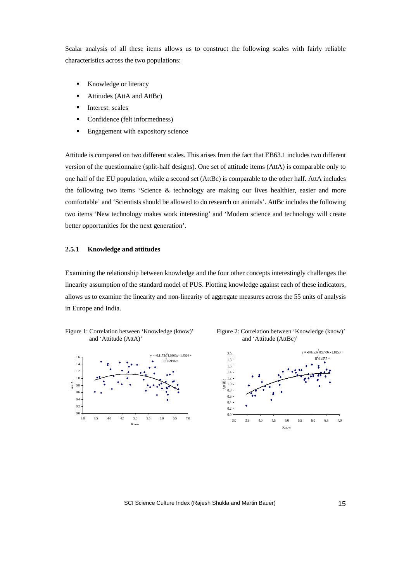Scalar analysis of all these items allows us to construct the following scales with fairly reliable characteristics across the two populations:

- Knowledge or literacy
- ß Attitudes (AttA and AttBc)
- **Interest:** scales
- Confidence (felt informedness)
- **Engagement with expository science**

Attitude is compared on two different scales. This arises from the fact that EB63.1 includes two different version of the questionnaire (split-half designs). One set of attitude items (AttA) is comparable only to one half of the EU population, while a second set (AttBc) is comparable to the other half. AttA includes the following two items 'Science & technology are making our lives healthier, easier and more comfortable' and 'Scientists should be allowed to do research on animals'. AttBc includes the following two items 'New technology makes work interesting' and 'Modern science and technology will create better opportunities for the next generation'.

#### **2.5.1 Knowledge and attitudes**

Examining the relationship between knowledge and the four other concepts interestingly challenges the linearity assumption of the standard model of PUS. Plotting knowledge against each of these indicators, allows us to examine the linearity and non-linearity of aggregate measures across the 55 units of analysis in Europe and India.







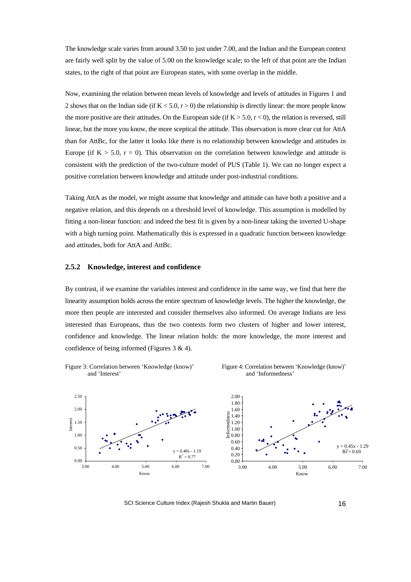The knowledge scale varies from around 3.50 to just under 7.00, and the Indian and the European context are fairly well split by the value of 5.00 on the knowledge scale; to the left of that point are the Indian states, to the right of that point are European states, with some overlap in the middle.

Now, examining the relation between mean levels of knowledge and levels of attitudes in Figures 1 and 2 shows that on the Indian side (if  $K < 5.0$ ,  $r > 0$ ) the relationship is directly linear: the more people know the more positive are their attitudes. On the European side (if  $K > 5.0$ ,  $r < 0$ ), the relation is reversed, still linear, but the more you know, the more sceptical the attitude. This observation is more clear cut for AttA than for AttBc, for the latter it looks like there is no relationship between knowledge and attitudes in Europe (if  $K > 5.0$ ,  $r = 0$ ). This observation on the correlation between knowledge and attitude is consistent with the prediction of the two-culture model of PUS (Table 1). We can no longer expect a positive correlation between knowledge and attitude under post-industrial conditions.

Taking AttA as the model, we might assume that knowledge and attitude can have both a positive and a negative relation, and this depends on a threshold level of knowledge. This assumption is modelled by fitting a non-linear function: and indeed the best fit is given by a non-linear taking the inverted U-shape with a high turning point. Mathematically this is expressed in a quadratic function between knowledge and attitudes, both for AttA and AttBc.

#### **2.5.2 Knowledge, interest and confidence**

By contrast, if we examine the variables interest and confidence in the same way, we find that here the linearity assumption holds across the entire spectrum of knowledge levels. The higher the knowledge, the more then people are interested and consider themselves also informed. On average Indians are less interested than Europeans, thus the two contexts form two clusters of higher and lower interest, confidence and knowledge. The linear relation holds: the more knowledge, the more interest and confidence of being informed (Figures 3 & 4).

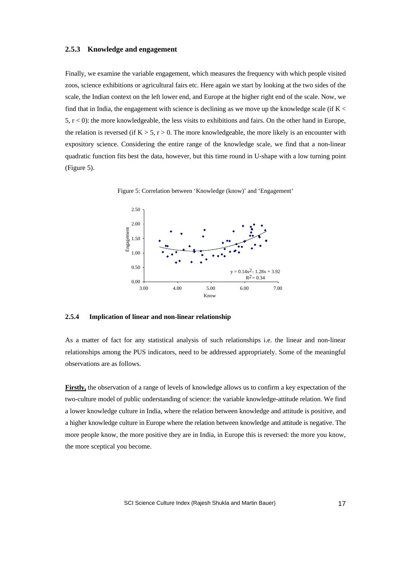#### **2.5.3 Knowledge and engagement**

Finally, we examine the variable engagement, which measures the frequency with which people visited zoos, science exhibitions or agricultural fairs etc. Here again we start by looking at the two sides of the scale, the Indian context on the left lower end, and Europe at the higher right end of the scale. Now, we find that in India, the engagement with science is declining as we move up the knowledge scale (if  $K \leq$  $5, r < 0$ ): the more knowledgeable, the less visits to exhibitions and fairs. On the other hand in Europe, the relation is reversed (if  $K > 5$ ,  $r > 0$ . The more knowledgeable, the more likely is an encounter with expository science. Considering the entire range of the knowledge scale, we find that a non-linear quadratic function fits best the data, however, but this time round in U-shape with a low turning point (Figure 5).



Figure 5: Correlation between 'Knowledge (know)' and 'Engagement'



#### **2.5.4 Implication of linear and non-linear relationship**

As a matter of fact for any statistical analysis of such relationships i.e. the linear and non-linear relationships among the PUS indicators, need to be addressed appropriately. Some of the meaningful observations are as follows.

**Firstly,** the observation of a range of levels of knowledge allows us to confirm a key expectation of the two-culture model of public understanding of science: the variable knowledge-attitude relation. We find a lower knowledge culture in India, where the relation between knowledge and attitude is positive, and a higher knowledge culture in Europe where the relation between knowledge and attitude is negative. The more people know, the more positive they are in India, in Europe this is reversed: the more you know, the more sceptical you become.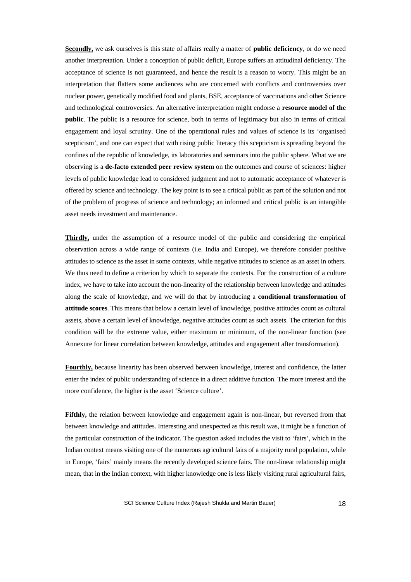**Secondly,** we ask ourselves is this state of affairs really a matter of **public deficiency**, or do we need another interpretation. Under a conception of public deficit, Europe suffers an attitudinal deficiency. The acceptance of science is not guaranteed, and hence the result is a reason to worry. This might be an interpretation that flatters some audiences who are concerned with conflicts and controversies over nuclear power, genetically modified food and plants, BSE, acceptance of vaccinations and other Science and technological controversies. An alternative interpretation might endorse a **resource model of the public**. The public is a resource for science, both in terms of legitimacy but also in terms of critical engagement and loyal scrutiny. One of the operational rules and values of science is its 'organised scepticism', and one can expect that with rising public literacy this scepticism is spreading beyond the confines of the republic of knowledge, its laboratories and seminars into the public sphere. What we are observing is a **de-facto extended peer review system** on the outcomes and course of sciences: higher levels of public knowledge lead to considered judgment and not to automatic acceptance of whatever is offered by science and technology. The key point is to see a critical public as part of the solution and not of the problem of progress of science and technology; an informed and critical public is an intangible asset needs investment and maintenance.

**Thirdly,** under the assumption of a resource model of the public and considering the empirical observation across a wide range of contexts (i.e. India and Europe), we therefore consider positive attitudes to science as the asset in some contexts, while negative attitudes to science as an asset in others. We thus need to define a criterion by which to separate the contexts. For the construction of a culture index, we have to take into account the non-linearity of the relationship between knowledge and attitudes along the scale of knowledge, and we will do that by introducing a **conditional transformation of attitude scores**. This means that below a certain level of knowledge, positive attitudes count as cultural assets, above a certain level of knowledge, negative attitudes count as such assets. The criterion for this condition will be the extreme value, either maximum or minimum, of the non-linear function (see Annexure for linear correlation between knowledge, attitudes and engagement after transformation).

**Fourthly,** because linearity has been observed between knowledge, interest and confidence, the latter enter the index of public understanding of science in a direct additive function. The more interest and the more confidence, the higher is the asset 'Science culture'.

**Fifthly,** the relation between knowledge and engagement again is non-linear, but reversed from that between knowledge and attitudes. Interesting and unexpected as this result was, it might be a function of the particular construction of the indicator. The question asked includes the visit to 'fairs', which in the Indian context means visiting one of the numerous agricultural fairs of a majority rural population, while in Europe, 'fairs' mainly means the recently developed science fairs. The non-linear relationship might mean, that in the Indian context, with higher knowledge one is less likely visiting rural agricultural fairs,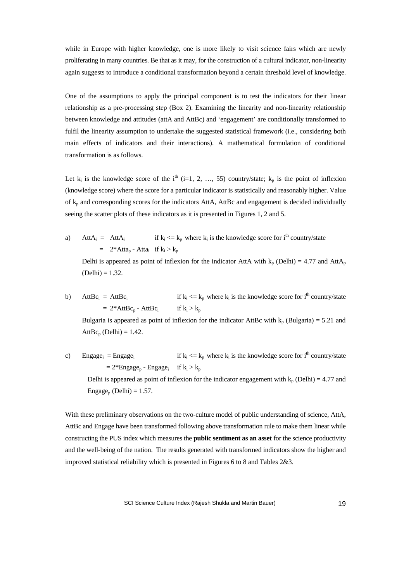while in Europe with higher knowledge, one is more likely to visit science fairs which are newly proliferating in many countries. Be that as it may, for the construction of a cultural indicator, non-linearity again suggests to introduce a conditional transformation beyond a certain threshold level of knowledge.

One of the assumptions to apply the principal component is to test the indicators for their linear relationship as a pre-processing step (Box 2). Examining the linearity and non-linearity relationship between knowledge and attitudes (attA and AttBc) and 'engagement' are conditionally transformed to fulfil the linearity assumption to undertake the suggested statistical framework (i.e., considering both main effects of indicators and their interactions). A mathematical formulation of conditional transformation is as follows.

Let  $k_i$  is the knowledge score of the i<sup>th</sup> (i=1, 2, ..., 55) country/state;  $k_p$  is the point of inflexion (knowledge score) where the score for a particular indicator is statistically and reasonably higher. Value of  $k_p$  and corresponding scores for the indicators AttA, AttBc and engagement is decided individually seeing the scatter plots of these indicators as it is presented in Figures 1, 2 and 5.

a)  $AttA_i = AttA_i$  if  $k_i$  $\langle k_{\rm p} \rangle$  where  $k_{\rm i}$  is the knowledge score for i<sup>th</sup> country/state  $= 2^*Atta_p - Atta_i$  if  $k_i > k_p$ 

Delhi is appeared as point of inflexion for the indicator AttA with  $k_p$  (Delhi) = 4.77 and AttA<sub>p</sub>  $(Delhi) = 1.32.$ 

b)  $AttBc_i = AttBc_i$  if  $k_i$  $\langle k_{\rm p} \rangle = k_{\rm p}$  where  $k_{\rm i}$  is the knowledge score for i<sup>th</sup> country/state  $= 2*AttBc_p - AttBc_i$ if  $k_i > k_p$ 

Bulgaria is appeared as point of inflexion for the indicator AttBc with  $k_p$  (Bulgaria) = 5.21 and  $AttBc_p (Delhi) = 1.42.$ 

c) Engage<sub>i</sub> = Engage<sub>i</sub> if k<sub>i</sub>  $\langle k_{\rm p} \rangle = k_{\rm p}$  where  $k_{\rm i}$  is the knowledge score for i<sup>th</sup> country/state  $= 2*Engage_p - Engage_i$  if  $k_i > k_p$ Delhi is appeared as point of inflexion for the indicator engagement with  $k_p$  (Delhi) = 4.77 and  $Engage<sub>p</sub> (Delhi) = 1.57.$ 

With these preliminary observations on the two-culture model of public understanding of science, AttA, AttBc and Engage have been transformed following above transformation rule to make them linear while constructing the PUS index which measures the **public sentiment as an asset** for the science productivity and the well-being of the nation. The results generated with transformed indicators show the higher and improved statistical reliability which is presented in Figures 6 to 8 and Tables 2&3.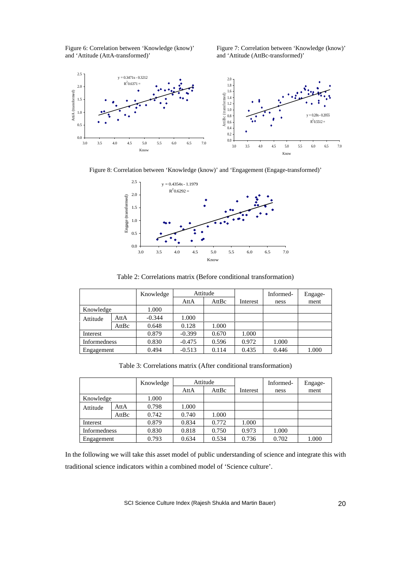Figure 6: Correlation between 'Knowledge (know)' and 'Attitude (AttA-transformed)'

Figure 7: Correlation between 'Knowledge (know)' and 'Attitude (AttBc-transformed)'



Figure 8: Correlation between 'Knowledge (know)' and 'Engagement (Engage-transformed)'



Table 2: Correlations matrix (Before conditional transformation)

|                     |       | Knowledge | Attitude |       |          | Informed- | Engage- |
|---------------------|-------|-----------|----------|-------|----------|-----------|---------|
|                     |       |           | AttA     | AttBc | Interest | ness      | ment    |
| Knowledge           |       | 1.000     |          |       |          |           |         |
| Attitude            | AttA  | $-0.344$  | 1.000    |       |          |           |         |
|                     | AttBc | 0.648     | 0.128    | 1.000 |          |           |         |
| Interest            |       | 0.879     | $-0.399$ | 0.670 | 1.000    |           |         |
| <b>Informedness</b> |       | 0.830     | $-0.475$ | 0.596 | 0.972    | 1.000     |         |
| Engagement          |       | 0.494     | $-0.513$ | 0.114 | 0.435    | 0.446     | 1.000   |

Table 3: Correlations matrix (After conditional transformation)

|                     |       | Knowledge | Attitude |       |          | Informed- | Engage- |
|---------------------|-------|-----------|----------|-------|----------|-----------|---------|
|                     |       |           | AttA     | AttBc | Interest | ness      | ment    |
| Knowledge           |       | 1.000     |          |       |          |           |         |
| Attitude            | AttA  | 0.798     | 1.000    |       |          |           |         |
|                     | AttBc | 0.742     | 0.740    | 1.000 |          |           |         |
| Interest            |       | 0.879     | 0.834    | 0.772 | 1.000    |           |         |
| <b>Informedness</b> |       | 0.830     | 0.818    | 0.750 | 0.973    | 1.000     |         |
| Engagement          |       | 0.793     | 0.634    | 0.534 | 0.736    | 0.702     | 1.000   |

In the following we will take this asset model of public understanding of science and integrate this with traditional science indicators within a combined model of 'Science culture'.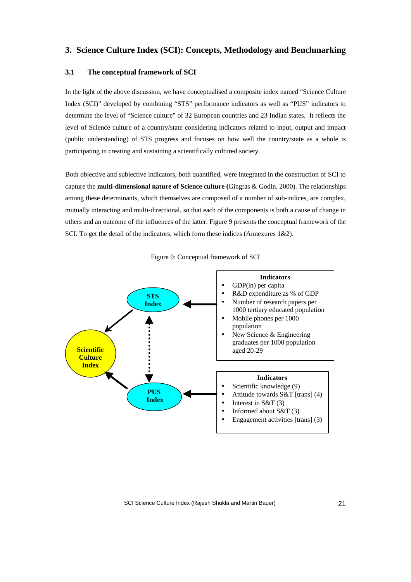### **3. Science Culture Index (SCI): Concepts, Methodology and Benchmarking**

### **3.1 The conceptual framework of SCI**

In the light of the above discussion, we have conceptualised a composite index named "Science Culture Index (SCI)" developed by combining "STS" performance indicators as well as "PUS" indicators to determine the level of "Science culture" of 32 European countries and 23 Indian states. It reflects the level of Science culture of a country/state considering indicators related to input, output and impact (public understanding) of STS progress and focuses on how well the country/state as a whole is participating in creating and sustaining a scientifically cultured society.

Both objective and subjective indicators, both quantified, were integrated in the construction of SCI to capture the **multi-dimensional nature of Science culture (**Gingras & Godin, 2000). The relationships among these determinants, which themselves are composed of a number of sub-indices, are complex, mutually interacting and multi-directional, so that each of the components is both a cause of change in others and an outcome of the influences of the latter. Figure 9 presents the conceptual framework of the SCI. To get the detail of the indicators, which form these indices (Annexures 1&2).



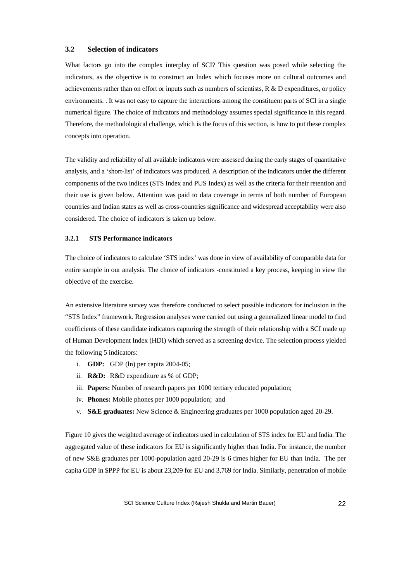### **3.2 Selection of indicators**

What factors go into the complex interplay of SCI? This question was posed while selecting the indicators, as the objective is to construct an Index which focuses more on cultural outcomes and achievements rather than on effort or inputs such as numbers of scientists, R & D expenditures, or policy environments. . It was not easy to capture the interactions among the constituent parts of SCI in a single numerical figure. The choice of indicators and methodology assumes special significance in this regard. Therefore, the methodological challenge, which is the focus of this section, is how to put these complex concepts into operation.

The validity and reliability of all available indicators were assessed during the early stages of quantitative analysis, and a 'short-list' of indicators was produced. A description of the indicators under the different components of the two indices (STS Index and PUS Index) as well as the criteria for their retention and their use is given below. Attention was paid to data coverage in terms of both number of European countries and Indian states as well as cross-countries significance and widespread acceptability were also considered. The choice of indicators is taken up below.

#### **3.2.1 STS Performance indicators**

The choice of indicators to calculate 'STS index' was done in view of availability of comparable data for entire sample in our analysis. The choice of indicators -constituted a key process, keeping in view the objective of the exercise.

An extensive literature survey was therefore conducted to select possible indicators for inclusion in the "STS Index" framework. Regression analyses were carried out using a generalized linear model to find coefficients of these candidate indicators capturing the strength of their relationship with a SCI made up of Human Development Index (HDI) which served as a screening device. The selection process yielded the following 5 indicators:

- i. **GDP:** GDP (ln) per capita 2004-05;
- ii. **R&D:** R&D expenditure as % of GDP;
- iii. **Papers:** Number of research papers per 1000 tertiary educated population;
- iv. **Phones:** Mobile phones per 1000 population; and
- v. **S&E graduates:** New Science & Engineering graduates per 1000 population aged 20-29.

Figure 10 gives the weighted average of indicators used in calculation of STS index for EU and India. The aggregated value of these indicators for EU is significantly higher than India. For instance, the number of new S&E graduates per 1000-population aged 20-29 is 6 times higher for EU than India. The per capita GDP in \$PPP for EU is about 23,209 for EU and 3,769 for India. Similarly, penetration of mobile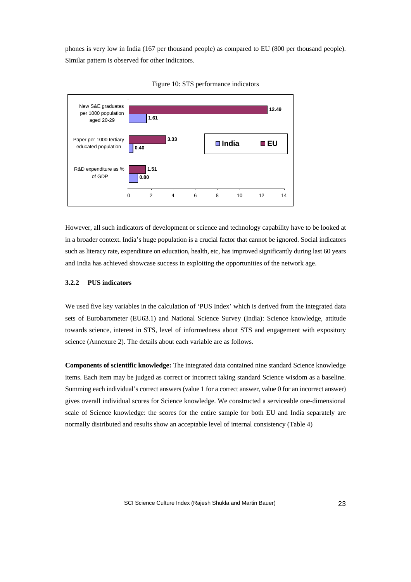phones is very low in India (167 per thousand people) as compared to EU (800 per thousand people). Similar pattern is observed for other indicators.



Figure 10: STS performance indicators

However, all such indicators of development or science and technology capability have to be looked at in a broader context. India's huge population is a crucial factor that cannot be ignored. Social indicators such as literacy rate, expenditure on education, health, etc, has improved significantly during last 60 years and India has achieved showcase success in exploiting the opportunities of the network age.

#### **3.2.2 PUS indicators**

We used five key variables in the calculation of 'PUS Index' which is derived from the integrated data sets of Eurobarometer (EU63.1) and National Science Survey (India): Science knowledge, attitude towards science, interest in STS, level of informedness about STS and engagement with expository science (Annexure 2). The details about each variable are as follows.

**Components of scientific knowledge:** The integrated data contained nine standard Science knowledge items. Each item may be judged as correct or incorrect taking standard Science wisdom as a baseline. Summing each individual's correct answers (value 1 for a correct answer, value 0 for an incorrect answer) gives overall individual scores for Science knowledge. We constructed a serviceable one-dimensional scale of Science knowledge: the scores for the entire sample for both EU and India separately are normally distributed and results show an acceptable level of internal consistency (Table 4)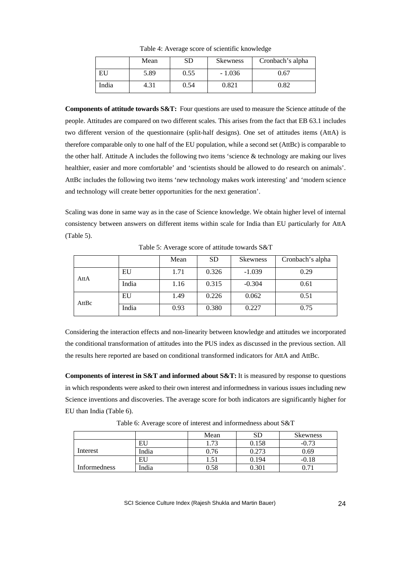|       | Mean | SD   | <b>Skewness</b> | Cronbach's alpha |
|-------|------|------|-----------------|------------------|
| EU    | 5.89 | 0.55 | $-1.036$        | ).67             |
| India | 4.31 | 0.54 | 0.821           | 0.82             |

Table 4: Average score of scientific knowledge

**Components of attitude towards S&T:** Four questions are used to measure the Science attitude of the people. Attitudes are compared on two different scales. This arises from the fact that EB 63.1 includes two different version of the questionnaire (split-half designs). One set of attitudes items (AttA) is therefore comparable only to one half of the EU population, while a second set (AttBc) is comparable to the other half. Attitude A includes the following two items 'science & technology are making our lives healthier, easier and more comfortable' and 'scientists should be allowed to do research on animals'. AttBc includes the following two items 'new technology makes work interesting' and 'modern science and technology will create better opportunities for the next generation'.

Scaling was done in same way as in the case of Science knowledge. We obtain higher level of internal consistency between answers on different items within scale for India than EU particularly for AttA (Table 5).

|       |       | Mean | <b>SD</b> | <b>Skewness</b> | Cronbach's alpha |
|-------|-------|------|-----------|-----------------|------------------|
| AttA  | EU    | 1.71 | 0.326     | $-1.039$        | 0.29             |
|       | India | 1.16 | 0.315     | $-0.304$        | 0.61             |
| AttBc | EU    | 1.49 | 0.226     | 0.062           | 0.51             |
|       | India | 0.93 | 0.380     | 0.227           | 0.75             |

Table 5: Average score of attitude towards S&T

Considering the interaction effects and non-linearity between knowledge and attitudes we incorporated the conditional transformation of attitudes into the PUS index as discussed in the previous section. All the results here reported are based on conditional transformed indicators for AttA and AttBc.

**Components of interest in S&T and informed about S&T:** It is measured by response to questions in which respondents were asked to their own interest and informedness in various issues including new Science inventions and discoveries. The average score for both indicators are significantly higher for EU than India (Table 6).

Mean SD Skewness EU 1.73 0.158 -0.73 Interest India 1 0.76 0.273 0.69 EU | 1.51 | 0.194 | -0.18 Informedness India 1 0.58 0.301 0.71

Table 6: Average score of interest and informedness about S&T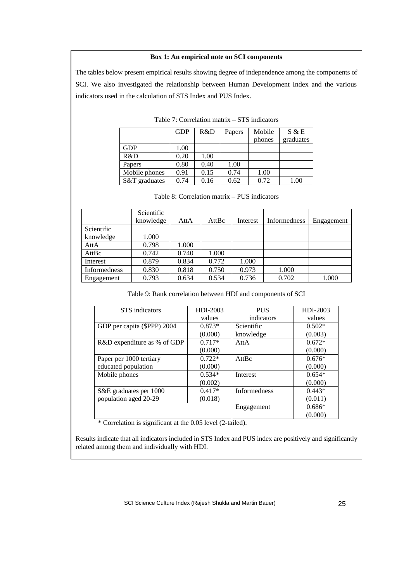#### **Box 1: An empirical note on SCI components**

The tables below present empirical results showing degree of independence among the components of SCI. We also investigated the relationship between Human Development Index and the various indicators used in the calculation of STS Index and PUS Index.

|               | <b>GDP</b> | R&D  | Papers | Mobile<br>phones | S & E<br>graduates |
|---------------|------------|------|--------|------------------|--------------------|
| <b>GDP</b>    | 1.00       |      |        |                  |                    |
| R&D           | 0.20       | 1.00 |        |                  |                    |
| Papers        | 0.80       | 0.40 | 1.00   |                  |                    |
| Mobile phones | 0.91       | 0.15 | 0.74   | 1.00             |                    |
| S&T graduates | 0.74       | 0.16 | 0.62   | 0.72             | 1.00               |

Table 7: Correlation matrix – STS indicators

|                     | Scientific |       |       |          |              |            |
|---------------------|------------|-------|-------|----------|--------------|------------|
|                     | knowledge  | AttA  | AttBc | Interest | Informedness | Engagement |
| Scientific          |            |       |       |          |              |            |
| knowledge           | 1.000      |       |       |          |              |            |
| AttA                | 0.798      | 1.000 |       |          |              |            |
| AttBc               | 0.742      | 0.740 | 1.000 |          |              |            |
| Interest            | 0.879      | 0.834 | 0.772 | 1.000    |              |            |
| <b>Informedness</b> | 0.830      | 0.818 | 0.750 | 0.973    | 1.000        |            |
| Engagement          | 0.793      | 0.634 | 0.534 | 0.736    | 0.702        | 1.000      |

#### Table 8: Correlation matrix – PUS indicators

Table 9: Rank correlation between HDI and components of SCI

| STS indicators              | HDI-2003 | <b>PUS</b>          | HDI-2003 |
|-----------------------------|----------|---------------------|----------|
|                             | values   | indicators          | values   |
| GDP per capita (\$PPP) 2004 | $0.873*$ | Scientific          | $0.502*$ |
|                             | (0.000)  | knowledge           | (0.003)  |
| R&D expenditure as % of GDP | $0.717*$ | AttA                | $0.672*$ |
|                             | (0.000)  |                     | (0.000)  |
| Paper per 1000 tertiary     | $0.722*$ | AttBc               | $0.676*$ |
| educated population         | (0.000)  |                     | (0.000)  |
| Mobile phones               | $0.534*$ | Interest            | $0.654*$ |
|                             | (0.002)  |                     | (0.000)  |
| S&E graduates per 1000      | $0.417*$ | <b>Informedness</b> | $0.443*$ |
| population aged 20-29       | (0.018)  |                     | (0.011)  |
|                             |          | Engagement          | $0.686*$ |
|                             |          |                     | (0.000)  |

\* Correlation is significant at the 0.05 level (2-tailed).

Results indicate that all indicators included in STS Index and PUS index are positively and significantly related among them and individually with HDI.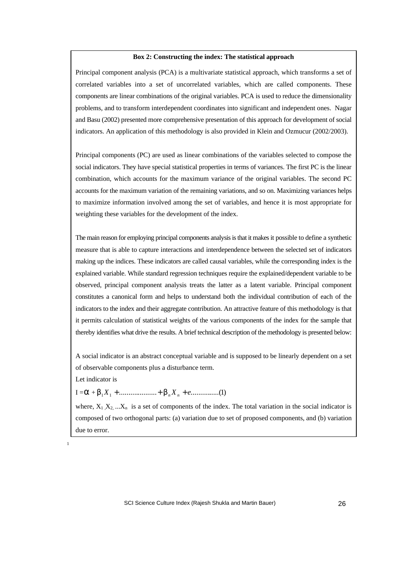#### **Box 2: Constructing the index: The statistical approach**

Principal component analysis (PCA) is a multivariate statistical approach, which transforms a set of correlated variables into a set of uncorrelated variables, which are called components. These components are linear combinations of the original variables. PCA is used to reduce the dimensionality problems, and to transform interdependent coordinates into significant and independent ones. Nagar and Basu (2002) presented more comprehensive presentation of this approach for development of social indicators. An application of this methodology is also provided in Klein and Ozmucur (2002/2003).

Principal components (PC) are used as linear combinations of the variables selected to compose the social indicators. They have special statistical properties in terms of variances. The first PC is the linear combination, which accounts for the maximum variance of the original variables. The second PC accounts for the maximum variation of the remaining variations, and so on. Maximizing variances helps to maximize information involved among the set of variables, and hence it is most appropriate for weighting these variables for the development of the index.

The main reason for employing principal components analysis is that it makes it possible to define a synthetic measure that is able to capture interactions and interdependence between the selected set of indicators making up the indices. These indicators are called causal variables, while the corresponding index is the explained variable. While standard regression techniques require the explained/dependent variable to be observed, principal component analysis treats the latter as a latent variable. Principal component constitutes a canonical form and helps to understand both the individual contribution of each of the indicators to the index and their aggregate contribution. An attractive feature of this methodology is that it permits calculation of statistical weights of the various components of the index for the sample that thereby identifies what drive the results. A brief technical description of the methodology is presented below:

A social indicator is an abstract conceptual variable and is supposed to be linearly dependent on a set of observable components plus a disturbance term.

Let indicator is

# $I = \mathbf{a} + \mathbf{b}_1 X_1 + \dots + \mathbf{b}_n X_n + \dots$  (1)

where,  $X_1, X_2, \ldots, X_n$  is a set of components of the index. The total variation in the social indicator is composed of two orthogonal parts: (a) variation due to set of proposed components, and (b) variation due to error.

1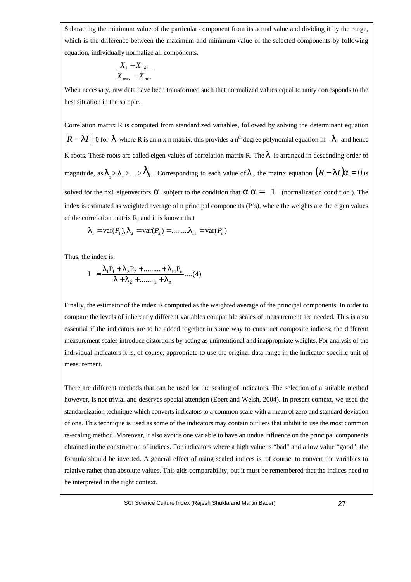**Box: Constructing the index: The statistical approach** equation, individually normalize all components. Subtracting the minimum value of the particular component from its actual value and dividing it by the range, which is the difference between the maximum and minimum value of the selected components by following

$$
\frac{X_i - X_{\min}}{X_{\max} - X_{\min}}
$$

When necessary, raw data have been transformed such that normalized values equal to unity corresponds to the best situation in the sample.

Correlation matrix R is computed from standardized variables, followed by solving the determinant equation  $|R - II|$  =0 for *l* where R is an n x n matrix, this provides a n<sup>th</sup> degree polynomial equation in *l* and hence K roots. These roots are called eigen values of correlation matrix R. The*l* is arranged in descending order of magnitude, as  $\bm{l}_1 > \bm{l}_2 > ... > \bm{l}_n$ . Corresponding to each value of  $\bm{l}$  , the matrix equation  $(R - I I)\bm{a} = 0$  is solved for the nx1 eigenvectors **a** subject to the condition that  $\mathbf{a} \cdot \mathbf{a} = 1$  (normalization condition.). The index is estimated as weighted average of n principal components (P's), where the weights are the eigen values of the correlation matrix R, and it is known that

$$
\mathbf{I}_1 = \text{var}(P_1), \mathbf{I}_2 = \text{var}(P_2) = \dots \dots \dots \mathbf{I}_{11} = \text{var}(P_n)
$$

Thus, the index is:

$$
I = \frac{\lambda_1 P_1 + \lambda_2 P_2 + \dots + \lambda_{11} P_n}{\lambda + \lambda_2 + \dots + \lambda_n} \dots (4)
$$

Finally, the estimator of the index is computed as the weighted average of the principal components. In order to compare the levels of inherently different variables compatible scales of measurement are needed. This is also essential if the indicators are to be added together in some way to construct composite indices; the different measurement scales introduce distortions by acting as unintentional and inappropriate weights. For analysis of the individual indicators it is, of course, appropriate to use the original data range in the indicator-specific unit of measurement.

There are different methods that can be used for the scaling of indicators. The selection of a suitable method however, is not trivial and deserves special attention (Ebert and Welsh, 2004). In present context, we used the standardization technique which converts indicators to a common scale with a mean of zero and standard deviation of one. This technique is used as some of the indicators may contain outliers that inhibit to use the most common re-scaling method. Moreover, it also avoids one variable to have an undue influence on the principal components obtained in the construction of indices. For indicators where a high value is "bad" and a low value "good", the formula should be inverted. A general effect of using scaled indices is, of course, to convert the variables to relative rather than absolute values. This aids comparability, but it must be remembered that the indices need to be interpreted in the right context.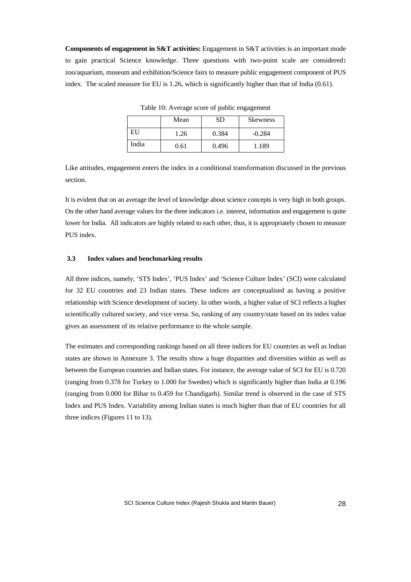**Components of engagement in S&T activities:** Engagement in S&T activities is an important mode to gain practical Science knowledge. Three questions with two-point scale are considered**:** zoo/aquarium, museum and exhibition/Science fairs to measure public engagement component of PUS index. The scaled measure for EU is 1.26, which is significantly higher than that of India (0.61).

|       | Mean | SD    | <b>Skewness</b> |
|-------|------|-------|-----------------|
| EU    | 1.26 | 0.384 | $-0.284$        |
| India | 0.61 | 0.496 | 1.189           |

Table 10: Average score of public engagement

Like attitudes, engagement enters the index in a conditional transformation discussed in the previous section.

It is evident that on an average the level of knowledge about science concepts is very high in both groups. On the other hand average values for the three indicators i.e. interest, information and engagement is quite lower for India. All indicators are highly related to each other, thus, it is appropriately chosen to measure PUS index.

#### **3.3 Index values and benchmarking results**

All three indices, namely, 'STS Index', 'PUS Index' and 'Science Culture Index' (SCI) were calculated for 32 EU countries and 23 Indian states. These indices are conceptualised as having a positive relationship with Science development of society. In other words, a higher value of SCI reflects a higher scientifically cultured society, and vice versa. So, ranking of any country/state based on its index value gives an assessment of its relative performance to the whole sample.

The estimates and corresponding rankings based on all three indices for EU countries as well as Indian states are shown in Annexure 3. The results show a huge disparities and diversities within as well as between the European countries and Indian states. For instance, the average value of SCI for EU is 0.720 (ranging from 0.378 for Turkey to 1.000 for Sweden) which is significantly higher than India at 0.196 (ranging from 0.000 for Bihar to 0.459 for Chandigarh). Similar trend is observed in the case of STS Index and PUS Index. Variability among Indian states is much higher than that of EU countries for all three indices (Figures 11 to 13).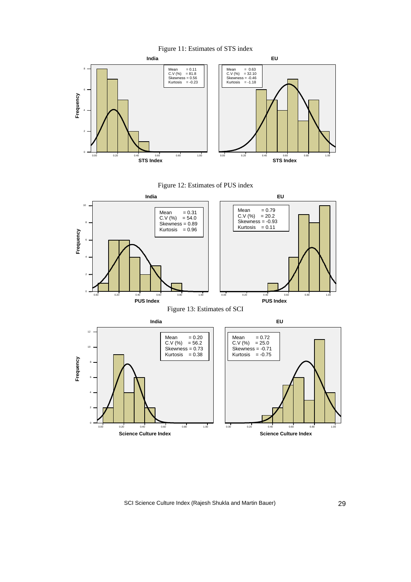



Figure 12: Estimates of PUS index

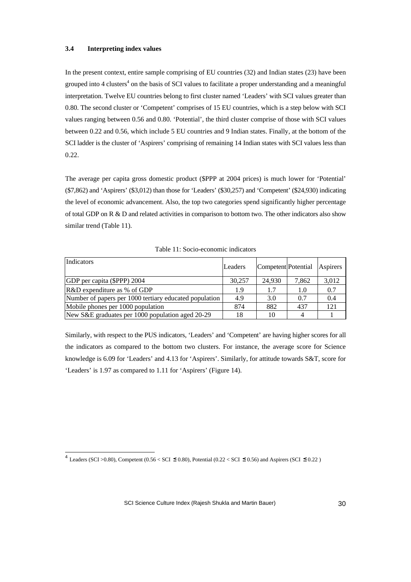#### **3.4 Interpreting index values**

1

In the present context, entire sample comprising of EU countries (32) and Indian states (23) have been grouped into 4 clusters<sup>4</sup> on the basis of SCI values to facilitate a proper understanding and a meaningful interpretation. Twelve EU countries belong to first cluster named 'Leaders' with SCI values greater than 0.80. The second cluster or 'Competent' comprises of 15 EU countries, which is a step below with SCI values ranging between 0.56 and 0.80. 'Potential', the third cluster comprise of those with SCI values between 0.22 and 0.56, which include 5 EU countries and 9 Indian states. Finally, at the bottom of the SCI ladder is the cluster of 'Aspirers' comprising of remaining 14 Indian states with SCI values less than 0.22.

The average per capita gross domestic product (\$PPP at 2004 prices) is much lower for 'Potential' (\$7,862) and 'Aspirers' (\$3,012) than those for 'Leaders' (\$30,257) and 'Competent' (\$24,930) indicating the level of economic advancement. Also, the top two categories spend significantly higher percentage of total GDP on R & D and related activities in comparison to bottom two. The other indicators also show similar trend (Table 11).

| Indicators                                             | Leaders | Competent Potential |       | Aspirers |
|--------------------------------------------------------|---------|---------------------|-------|----------|
| GDP per capita (\$PPP) 2004                            | 30.257  | 24.930              | 7,862 | 3,012    |
| R&D expenditure as % of GDP                            | 1.9     | 1.7                 | 1.0   | 0.7      |
| Number of papers per 1000 tertiary educated population | 4.9     | 3.0                 | 0.7   | 0.4      |
| Mobile phones per 1000 population                      | 874     | 882                 | 437   | 121      |
| New S&E graduates per 1000 population aged 20-29       | 18      | 10                  |       |          |

Similarly, with respect to the PUS indicators, 'Leaders' and 'Competent' are having higher scores for all the indicators as compared to the bottom two clusters. For instance, the average score for Science knowledge is 6.09 for 'Leaders' and 4.13 for 'Aspirers'. Similarly, for attitude towards S&T, score for 'Leaders' is 1.97 as compared to 1.11 for 'Aspirers' (Figure 14).

 $^4$  Leaders (SCI >0.80), Competent (0.56 < SCI  $\leq$  0.80), Potential (0.22 < SCI  $\leq$  0.56) and Aspirers (SCI  $\leq$  0.22)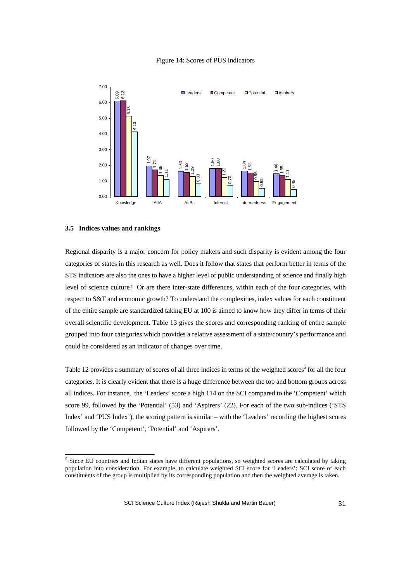![](_page_30_Figure_0.jpeg)

![](_page_30_Figure_1.jpeg)

#### **3.5 Indices values and rankings**

1

Regional disparity is a major concern for policy makers and such disparity is evident among the four categories of states in this research as well. Does it follow that states that perform better in terms of the STS indicators are also the ones to have a higher level of public understanding of science and finally high level of science culture? Or are there inter-state differences, within each of the four categories, with respect to S&T and economic growth? To understand the complexities, index values for each constituent of the entire sample are standardized taking EU at 100 is aimed to know how they differ in terms of their overall scientific development. Table 13 gives the scores and corresponding ranking of entire sample grouped into four categories which provides a relative assessment of a state/country's performance and could be considered as an indicator of changes over time. Example the space of target and **Example 19** and the space of the space of target and the space of target and the space of target and the space of target and the space of target and the space of target and the space of ta

Table 12 provides a summary of scores of all three indices in terms of the weighted scores<sup>5</sup> for all the four categories. It is clearly evident that there is a huge difference between the top and bottom groups across all indices. For instance, the 'Leaders' score a high 114 on the SCI compared to the 'Competent' which score 99, followed by the 'Potential' (53) and 'Aspirers' (22). For each of the two sub-indices ('STS Index' and 'PUS Index'), the scoring pattern is similar – with the 'Leaders' recording the highest scores followed by the 'Competent', 'Potential' and 'Aspirers'.

<sup>&</sup>lt;sup>5</sup> Since EU countries and Indian states have different populations, so weighted scores are calculated by taking population into consideration. For example, to calculate weighted SCI score for 'Leaders': SCI score of each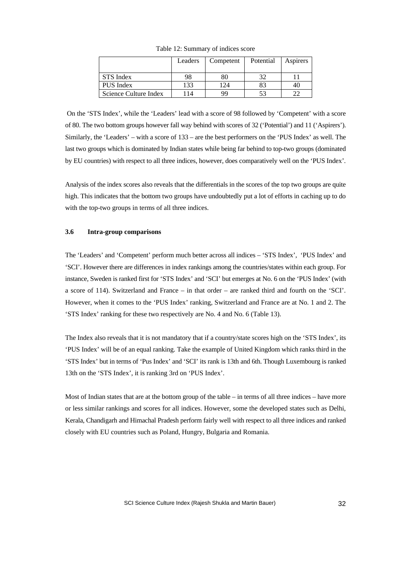|                       | Leaders | Competent | Potential | Aspirers |
|-----------------------|---------|-----------|-----------|----------|
|                       |         |           |           |          |
| STS Index             | 98      | 80        |           |          |
| PUS Index             | 133     | 124       | 83        |          |
| Science Culture Index | 114     | 99        | 53        |          |

Table 12: Summary of indices score

 On the 'STS Index', while the 'Leaders' lead with a score of 98 followed by 'Competent' with a score of 80. The two bottom groups however fall way behind with scores of 32 ('Potential') and 11 ('Aspirers'). Similarly, the 'Leaders' – with a score of 133 – are the best performers on the 'PUS Index' as well. The last two groups which is dominated by Indian states while being far behind to top-two groups (dominated by EU countries) with respect to all three indices, however, does comparatively well on the 'PUS Index'.

Analysis of the index scores also reveals that the differentials in the scores of the top two groups are quite high. This indicates that the bottom two groups have undoubtedly put a lot of efforts in caching up to do with the top-two groups in terms of all three indices.

#### **3.6 Intra-group comparisons**

The 'Leaders' and 'Competent' perform much better across all indices – 'STS Index', 'PUS Index' and 'SCI'. However there are differences in index rankings among the countries/states within each group. For instance, Sweden is ranked first for 'STS Index' and 'SCI' but emerges at No. 6 on the 'PUS Index' (with a score of 114). Switzerland and France – in that order – are ranked third and fourth on the 'SCI'. However, when it comes to the 'PUS Index' ranking, Switzerland and France are at No. 1 and 2. The 'STS Index' ranking for these two respectively are No. 4 and No. 6 (Table 13).

The Index also reveals that it is not mandatory that if a country/state scores high on the 'STS Index', its 'PUS Index' will be of an equal ranking. Take the example of United Kingdom which ranks third in the 'STS Index' but in terms of 'Pus Index' and 'SCI' its rank is 13th and 6th. Though Luxembourg is ranked 13th on the 'STS Index', it is ranking 3rd on 'PUS Index'.

Most of Indian states that are at the bottom group of the table – in terms of all three indices – have more or less similar rankings and scores for all indices. However, some the developed states such as Delhi, Kerala, Chandigarh and Himachal Pradesh perform fairly well with respect to all three indices and ranked closely with EU countries such as Poland, Hungry, Bulgaria and Romania.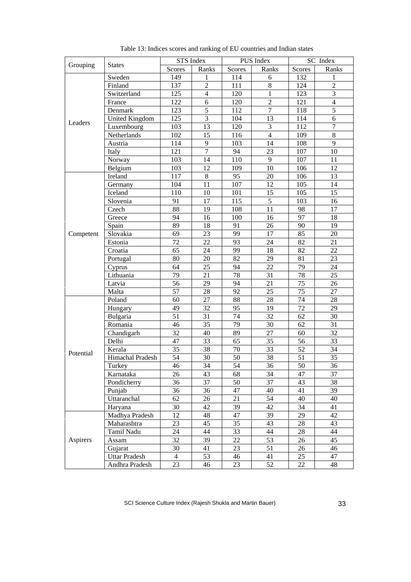|           |                       | STS Index      |                |               | SC Index<br>PUS Index |        |                |
|-----------|-----------------------|----------------|----------------|---------------|-----------------------|--------|----------------|
| Grouping  | <b>States</b>         | <b>Scores</b>  | Ranks          | <b>Scores</b> | Ranks                 | Scores | Ranks          |
|           | Sweden                | 149            | 1              | 114           | 6                     | 132    | 1              |
|           | Finland               | 137            | $\overline{c}$ | 111           | 8                     | 124    | $\overline{2}$ |
|           | Switzerland           | 125            | $\overline{4}$ | 120           | $\mathbf{1}$          | 123    | $\overline{3}$ |
|           | France                | 122            | 6              | 120           | $\overline{c}$        | 121    | $\overline{4}$ |
|           | Denmark               | 123            | 5              | 112           | $\overline{7}$        | 118    | $\overline{5}$ |
|           | <b>United Kingdom</b> | 125            | 3              | 104           | 13                    | 114    | 6              |
| Leaders   | Luxembourg            | 103            | 13             | 120           | 3                     | 112    | $\overline{7}$ |
|           | Netherlands           | 102            | 15             | 116           | $\overline{4}$        | 109    | 8              |
|           | Austria               | 114            | 9              | 103           | 14                    | 108    | 9              |
|           | Italy                 | 121            | $\overline{7}$ | 94            | 23                    | 107    | 10             |
|           | Norway                | 103            | 14             | 110           | 9                     | 107    | 11             |
|           | Belgium               | 103            | 12             | 109           | 10                    | 106    | 12             |
|           | Ireland               | 117            | 8              | 95            | 20                    | 106    | 13             |
|           | Germany               | 104            | 11             | 107           | 12                    | 105    | 14             |
|           | Iceland               | 110            | 10             | 101           | 15                    | 105    | 15             |
|           | Slovenia              | 91             | 17             | 115           | 5                     | 103    | 16             |
|           | Czech                 | 88             | 19             | 108           | 11                    | 98     | 17             |
|           | Greece                | 94             | 16             | 100           | 16                    | 97     | 18             |
|           | Spain                 | 89             | 18             | 91            | 26                    | 90     | 19             |
| Competent | Slovakia              | 69             | 23             | 99            | 17                    | 85     | 20             |
|           | Estonia               | 72             | 22             | 93            | 24                    | 82     | 21             |
|           | Croatia               | 65             | 24             | 99            | 18                    | 82     | 22             |
|           | Portugal              | 80             | 20             | 82            | 29                    | 81     | 23             |
|           | Cyprus                | 64             | 25             | 94            | 22                    | 79     | 24             |
|           | Lithuania             | 79             | 21             | 78            | 31                    | 78     | 25             |
|           | Latvia                | 56             | 29             | 94            | 21                    | 75     | 26             |
|           | Malta                 | 57             | 28             | 92            | 25                    | 75     | 27             |
|           | Poland                | 60             | 27             | 88            | 28                    | 74     | 28             |
|           | Hungary               | 49             | 32             | 95            | 19                    | 72     | 29             |
|           | Bulgaria              | 51             | 31             | 74            | 32                    | 62     | 30             |
|           | Romania               | 46             | 35             | 79            | 30                    | 62     | 31             |
|           | Chandigarh            | 32             | 40             | 89            | 27                    | 60     | 32             |
|           | Delhi                 | 47             | 33             | 65            | 35                    | 56     | 33             |
|           | Kerala                | 35             | 38             | 70            | 33                    | 52     | 34             |
| Potential | Himachal Pradesh      | 54             | 30             | 50            | 38                    | 51     | 35             |
|           | Turkey                | 46             | 34             | 54            | 36                    | 50     | 36             |
|           | Karnataka             | 26             | 43             | 68            | 34                    | 47     | 37             |
|           | Pondicherry           | 36             | 37             | 50            | 37                    | 43     | 38             |
|           | Punjab                | 36             | 36             | 47            | 40                    | 41     | 39             |
|           | Uttaranchal           | 62             | 26             | 21            | 54                    | 40     | 40             |
|           | Haryana               | 30             | 42             | 39            | 42                    | 34     | 41             |
|           | Madhya Pradesh        | 12             | 48             | 47            | 39                    | 29     | 42             |
|           | Maharashtra           | 23             | 45             | 35            | 43                    | 28     | 43             |
|           | Tamil Nadu            | 24             | 44             | 33            | 44                    | 28     | 44             |
| Aspirers  | Assam                 | 32             | 39             | 22            | 53                    | 26     | 45             |
|           | Gujarat               | 30             | 41             | 23            | 51                    | 26     | 46             |
|           | <b>Uttar Pradesh</b>  | $\overline{4}$ | 53             | 46            | 41                    | 25     | 47             |
|           | Andhra Pradesh        | 23             | 46             | 23            | 52                    | 22     | 48             |

Table 13: Indices scores and ranking of EU countries and Indian states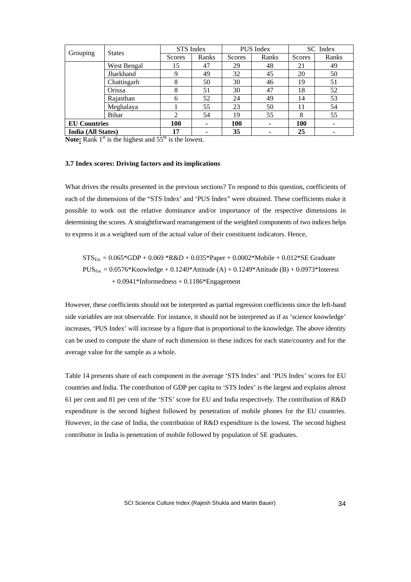| Grouping                  | <b>States</b> | STS Index      |       | <b>PUS</b> Index |                          | SC Index   |       |
|---------------------------|---------------|----------------|-------|------------------|--------------------------|------------|-------|
|                           |               | Scores         | Ranks | Scores           | Ranks                    | Scores     | Ranks |
|                           | West Bengal   | 15             | 47    | 29               | 48                       | 21         | 49    |
|                           | Jharkhand     | 9              | 49    | 32               | 45                       | 20         | 50    |
|                           | Chattisgarh   | 8              | 50    | 30               | 46                       | 19         | 51    |
|                           | Orissa        | 8              | 51    | 30               | 47                       | 18         | 52    |
|                           | Rajasthan     | 6              | 52    | 24               | 49                       | 14         | 53    |
|                           | Meghalaya     |                | 55    | 23               | 50                       | 11         | 54    |
|                           | Bihar         | $\mathfrak{D}$ | 54    | 19               | 55                       | 8          | 55    |
| <b>EU</b> Countries       |               | 100            | ۰     | 100              | $\overline{\phantom{a}}$ | <b>100</b> |       |
| <b>India (All States)</b> |               | 17             |       | 35               |                          | 25         |       |

**Note:** Rank  $1<sup>st</sup>$  is the highest and  $55<sup>th</sup>$  is the lowest.

#### **3.7 Index scores: Driving factors and its implications**

What drives the results presented in the previous sections? To respond to this question, coefficients of each of the dimensions of the "STS Index' and 'PUS Index" were obtained. These coefficients make it possible to work out the relative dominance and/or importance of the respective dimensions in determining the scores. A straightforward rearrangement of the weighted components of two indices helps to express it as a weighted sum of the actual value of their constituent indicators. Hence,

 $STS_{Est.} = 0.065*GDP + 0.069*R&D + 0.035*Paper + 0.0002* Mobile + 0.012*SE Graduate$  $PUS_{Est.} = 0.0576*K nowledge + 0.1240*K1 (A) + 0.1249*K1 (B) + 0.0973*K1 (B)$  $+0.0941*$ Informedness  $+0.1186*$ Engagement

However, these coefficients should not be interpreted as partial regression coefficients since the left-hand side variables are not observable. For instance, it should not be interpreted as if as 'science knowledge' increases, 'PUS Index' will increase by a figure that is proportional to the knowledge. The above identity can be used to compute the share of each dimension in these indices for each state/country and for the average value for the sample as a whole.

Table 14 presents share of each component in the average 'STS Index' and 'PUS Index' scores for EU countries and India. The contribution of GDP per capita to 'STS Index' is the largest and explains almost 61 per cent and 81 per cent of the 'STS' score for EU and India respectively. The contribution of R&D expenditure is the second highest followed by penetration of mobile phones for the EU countries. However, in the case of India, the contribution of R&D expenditure is the lowest. The second highest contributor in India is penetration of mobile followed by population of SE graduates.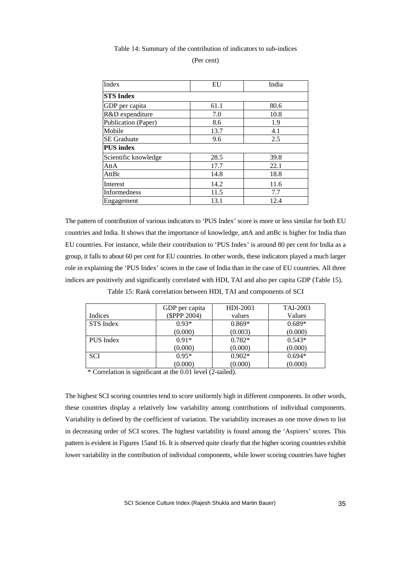#### Table 14: Summary of the contribution of indicators to sub-indices

| (Per cent) |  |
|------------|--|
|------------|--|

| Index                | EU   | India |
|----------------------|------|-------|
| <b>STS</b> Index     |      |       |
| GDP per capita       | 61.1 | 80.6  |
| R&D expenditure      | 7.0  | 10.8  |
| Publication (Paper)  | 8.6  | 1.9   |
| Mobile               | 13.7 | 4.1   |
| <b>SE</b> Graduate   | 9.6  | 2.5   |
| <b>PUS</b> index     |      |       |
| Scientific knowledge | 28.5 | 39.8  |
| AttA                 | 17.7 | 22.1  |
| AttBc                | 14.8 | 18.8  |
| Interest             | 14.2 | 11.6  |
| <b>Informedness</b>  | 11.5 | 7.7   |
| Engagement           | 13.1 | 12.4  |

The pattern of contribution of various indicators to 'PUS Index' score is more or less similar for both EU countries and India. It shows that the importance of knowledge, attA and attBc is higher for India than EU countries. For instance, while their contribution to 'PUS Index' is around 80 per cent for India as a group, it falls to about 60 per cent for EU countries. In other words, these indicators played a much larger role in explaining the 'PUS Index' scores in the case of India than in the case of EU countries. All three indices are positively and significantly correlated with HDI, TAI and also per capita GDP (Table 15).

Table 15: Rank correlation between HDI, TAI and components of SCI

|                | GDP per capita | HDI-2003 | TAI-2003 |
|----------------|----------------|----------|----------|
| <b>Indices</b> | (\$PPP 2004)   | values   | Values   |
| STS Index      | $0.93*$        | $0.869*$ | $0.689*$ |
|                | (0.000)        | (0.003)  | (0.000)  |
| PUS Index      | $0.91*$        | $0.782*$ | $0.543*$ |
|                | (0.000)        | (0.000)  | (0.000)  |
| <b>SCI</b>     | $0.95*$        | $0.902*$ | $0.694*$ |
|                | (0.000)        | (0.000)  | (0.000)  |
|                | .              |          |          |

\* Correlation is significant at the 0.01 level (2-tailed).

The highest SCI scoring countries tend to score uniformly high in different components. In other words, these countries display a relatively low variability among contributions of individual components. Variability is defined by the coefficient of variation. The variability increases as one move down to list in decreasing order of SCI scores. The highest variability is found among the 'Aspirers' scores. This pattern is evident in Figures 15and 16. It is observed quite clearly that the higher scoring countries exhibit lower variability in the contribution of individual components, while lower scoring countries have higher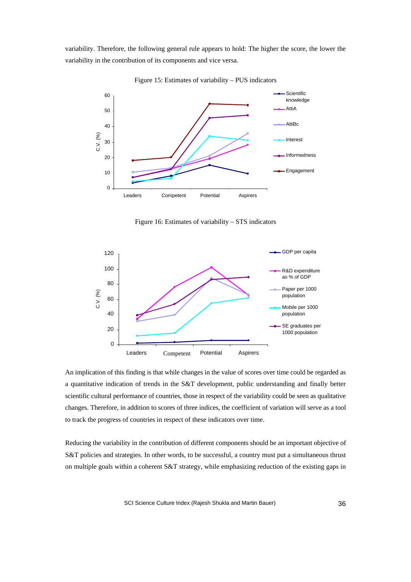variability. Therefore, the following general rule appears to hold: The higher the score, the lower the variability in the contribution of its components and vice versa.

![](_page_35_Figure_1.jpeg)

Figure 15: Estimates of variability – PUS indicators

Figure 16: Estimates of variability – STS indicators

![](_page_35_Figure_4.jpeg)

An implication of this finding is that while changes in the value of scores over time could be regarded as a quantitative indication of trends in the S&T development, public understanding and finally better scientific cultural performance of countries, those in respect of the variability could be seen as qualitative changes. Therefore, in addition to scores of three indices, the coefficient of variation will serve as a tool to track the progress of countries in respect of these indicators over time.

Reducing the variability in the contribution of different components should be an important objective of S&T policies and strategies. In other words, to be successful, a country must put a simultaneous thrust on multiple goals within a coherent S&T strategy, while emphasizing reduction of the existing gaps in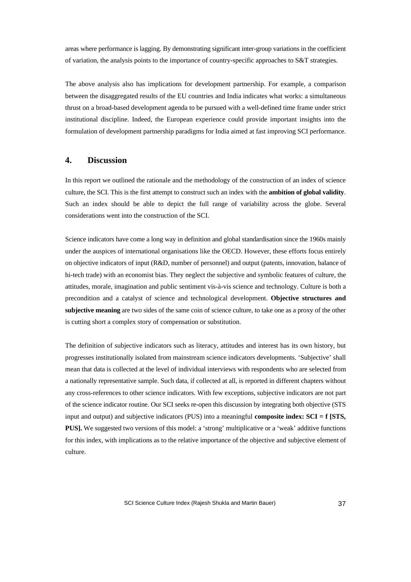areas where performance is lagging. By demonstrating significant inter-group variations in the coefficient of variation, the analysis points to the importance of country-specific approaches to S&T strategies.

The above analysis also has implications for development partnership. For example, a comparison between the disaggregated results of the EU countries and India indicates what works: a simultaneous thrust on a broad-based development agenda to be pursued with a well-defined time frame under strict institutional discipline. Indeed, the European experience could provide important insights into the formulation of development partnership paradigms for India aimed at fast improving SCI performance.

### **4. Discussion**

In this report we outlined the rationale and the methodology of the construction of an index of science culture, the SCI. This is the first attempt to construct such an index with the **ambition of global validity**. Such an index should be able to depict the full range of variability across the globe. Several considerations went into the construction of the SCI.

Science indicators have come a long way in definition and global standardisation since the 1960s mainly under the auspices of international organisations like the OECD. However, these efforts focus entirely on objective indicators of input (R&D, number of personnel) and output (patents, innovation, balance of hi-tech trade) with an economist bias. They neglect the subjective and symbolic features of culture, the attitudes, morale, imagination and public sentiment vis-à-vis science and technology. Culture is both a precondition and a catalyst of science and technological development. **Objective structures and subjective meaning** are two sides of the same coin of science culture, to take one as a proxy of the other is cutting short a complex story of compensation or substitution.

The definition of subjective indicators such as literacy, attitudes and interest has its own history, but progresses institutionally isolated from mainstream science indicators developments. 'Subjective' shall mean that data is collected at the level of individual interviews with respondents who are selected from a nationally representative sample. Such data, if collected at all, is reported in different chapters without any cross-references to other science indicators. With few exceptions, subjective indicators are not part of the science indicator routine. Our SCI seeks re-open this discussion by integrating both objective (STS input and output) and subjective indicators (PUS) into a meaningful **composite index: SCI = f [STS, PUS].** We suggested two versions of this model: a 'strong' multiplicative or a 'weak' additive functions for this index, with implications as to the relative importance of the objective and subjective element of culture.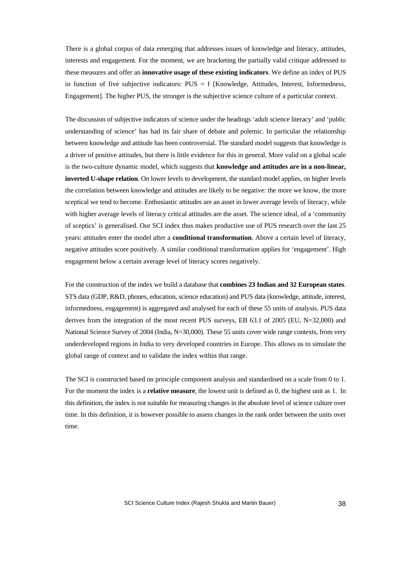There is a global corpus of data emerging that addresses issues of knowledge and literacy, attitudes, interests and engagement. For the moment, we are bracketing the partially valid critique addressed to these measures and offer an **innovative usage of these existing indicators**. We define an index of PUS in function of five subjective indicators:  $PUS = f$  [Knowledge, Attitudes, Interest, Informedness, Engagement]. The higher PUS, the stronger is the subjective science culture of a particular context.

The discussion of subjective indicators of science under the headings 'adult science literacy' and 'public understanding of science' has had its fair share of debate and polemic. In particular the relationship between knowledge and attitude has been controversial. The standard model suggests that knowledge is a driver of positive attitudes, but there is little evidence for this in general. More valid on a global scale is the two-culture dynamic model, which suggests that **knowledge and attitudes are in a non-linear, inverted U-shape relation**. On lower levels to development, the standard model applies, on higher levels the correlation between knowledge and attitudes are likely to be negative: the more we know, the more sceptical we tend to become. Enthusiastic attitudes are an asset in lower average levels of literacy, while with higher average levels of literacy critical attitudes are the asset. The science ideal, of a 'community of sceptics' is generalised. Our SCI index thus makes productive use of PUS research over the last 25 years: attitudes enter the model after a **conditional transformation**. Above a certain level of literacy, negative attitudes score positively. A similar conditional transformation applies for 'engagement'. High engagement below a certain average level of literacy scores negatively.

For the construction of the index we build a database that **combines 23 Indian and 32 European states**. STS data (GDP, R&D, phones, education, science education) and PUS data (knowledge, attitude, interest, informedness, engagement) is aggregated and analysed for each of these 55 units of analysis. PUS data derives from the integration of the most recent PUS surveys, EB 63.1 of 2005 (EU, N=32,000) and National Science Survey of 2004 (India, N=30,000). These 55 units cover wide range contexts, from very underdeveloped regions in India to very developed countries in Europe. This allows us to simulate the global range of context and to validate the index within that range.

The SCI is constructed based on principle component analysis and standardised on a scale from 0 to 1. For the moment the index is a **relative measure**, the lowest unit is defined as 0, the highest unit as 1. In this definition, the index is not suitable for measuring changes in the absolute level of science culture over time. In this definition, it is however possible to assess changes in the rank order between the units over time.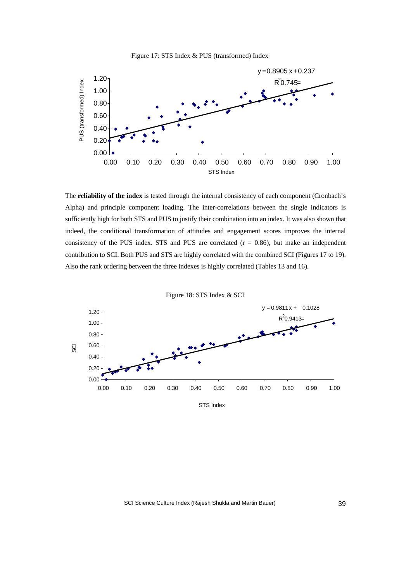![](_page_38_Figure_0.jpeg)

![](_page_38_Figure_1.jpeg)

The **reliability of the index** is tested through the internal consistency of each component (Cronbach's Alpha) and principle component loading. The inter-correlations between the single indicators is sufficiently high for both STS and PUS to justify their combination into an index. It was also shown that indeed, the conditional transformation of attitudes and engagement scores improves the internal consistency of the PUS index. STS and PUS are correlated  $(r = 0.86)$ , but make an independent contribution to SCI. Both PUS and STS are highly correlated with the combined SCI (Figures 17 to 19). Also the rank ordering between the three indexes is highly correlated (Tables 13 and 16).

![](_page_38_Figure_3.jpeg)

SCI Science Culture Index (Rajesh Shukla and Martin Bauer) 39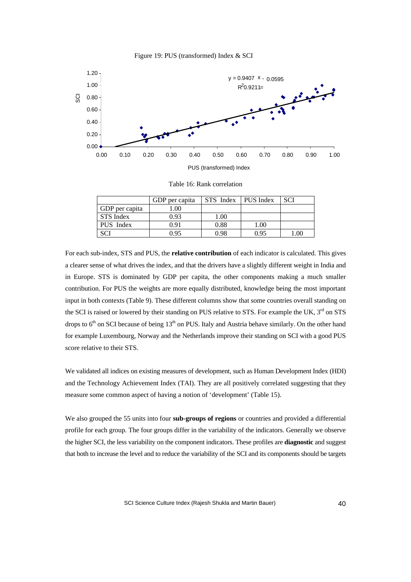![](_page_39_Figure_0.jpeg)

![](_page_39_Figure_1.jpeg)

Table 16: Rank correlation

|                | GDP per capita | STS Index   PUS Index |      | <b>SCI</b> |
|----------------|----------------|-----------------------|------|------------|
| GDP per capita | .00            |                       |      |            |
| STS Index      | 0.93           | 1.00                  |      |            |
| PUS Index      | 0.91           | 0.88                  | 1.00 |            |
| <b>SCI</b>     | 0.95           | 0.98                  | 0.95 | .00        |

For each sub-index, STS and PUS, the **relative contribution** of each indicator is calculated. This gives a clearer sense of what drives the index, and that the drivers have a slightly different weight in India and in Europe. STS is dominated by GDP per capita, the other components making a much smaller contribution. For PUS the weights are more equally distributed, knowledge being the most important input in both contexts (Table 9). These different columns show that some countries overall standing on the SCI is raised or lowered by their standing on PUS relative to STS. For example the UK, 3<sup>rd</sup> on STS drops to  $6<sup>th</sup>$  on SCI because of being 13<sup>th</sup> on PUS. Italy and Austria behave similarly. On the other hand for example Luxembourg, Norway and the Netherlands improve their standing on SCI with a good PUS score relative to their STS.

We validated all indices on existing measures of development, such as Human Development Index (HDI) and the Technology Achievement Index (TAI). They are all positively correlated suggesting that they measure some common aspect of having a notion of 'development' (Table 15).

We also grouped the 55 units into four **sub-groups of regions** or countries and provided a differential profile for each group. The four groups differ in the variability of the indicators. Generally we observe the higher SCI, the less variability on the component indicators. These profiles are **diagnostic** and suggest that both to increase the level and to reduce the variability of the SCI and its components should be targets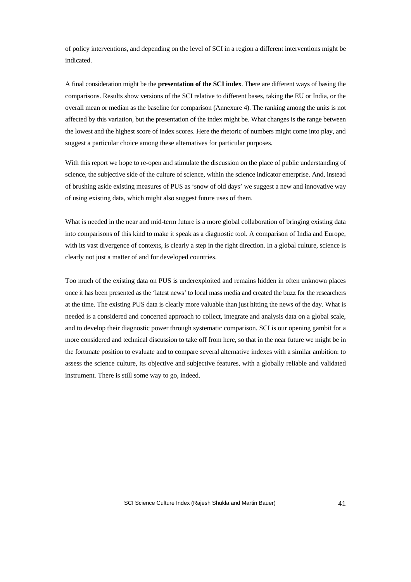of policy interventions, and depending on the level of SCI in a region a different interventions might be indicated.

A final consideration might be the **presentation of the SCI index**. There are different ways of basing the comparisons. Results show versions of the SCI relative to different bases, taking the EU or India, or the overall mean or median as the baseline for comparison (Annexure 4). The ranking among the units is not affected by this variation, but the presentation of the index might be. What changes is the range between the lowest and the highest score of index scores. Here the rhetoric of numbers might come into play, and suggest a particular choice among these alternatives for particular purposes.

With this report we hope to re-open and stimulate the discussion on the place of public understanding of science, the subjective side of the culture of science, within the science indicator enterprise. And, instead of brushing aside existing measures of PUS as 'snow of old days' we suggest a new and innovative way of using existing data, which might also suggest future uses of them.

What is needed in the near and mid-term future is a more global collaboration of bringing existing data into comparisons of this kind to make it speak as a diagnostic tool. A comparison of India and Europe, with its vast divergence of contexts, is clearly a step in the right direction. In a global culture, science is clearly not just a matter of and for developed countries.

Too much of the existing data on PUS is underexploited and remains hidden in often unknown places once it has been presented as the 'latest news' to local mass media and created the buzz for the researchers at the time. The existing PUS data is clearly more valuable than just hitting the news of the day. What is needed is a considered and concerted approach to collect, integrate and analysis data on a global scale, and to develop their diagnostic power through systematic comparison. SCI is our opening gambit for a more considered and technical discussion to take off from here, so that in the near future we might be in the fortunate position to evaluate and to compare several alternative indexes with a similar ambition: to assess the science culture, its objective and subjective features, with a globally reliable and validated instrument. There is still some way to go, indeed.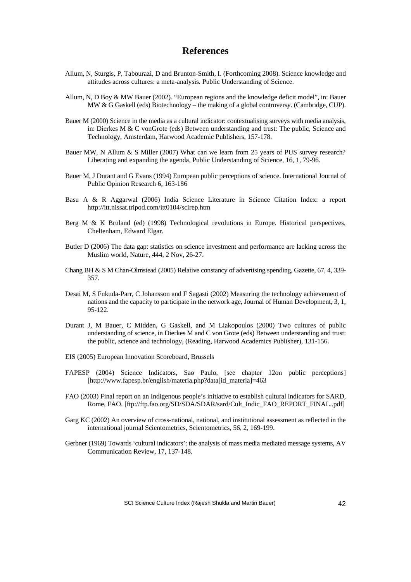# **References**

- Allum, N, Sturgis, P, Tabourazi, D and Brunton-Smith, I. (Forthcoming 2008). Science knowledge and attitudes across cultures: a meta-analysis. Public Understanding of Science.
- Allum, N, D Boy & MW Bauer (2002). "European regions and the knowledge deficit model", in: Bauer MW & G Gaskell (eds) Biotechnology – the making of a global controversy. (Cambridge, CUP).
- Bauer M (2000) Science in the media as a cultural indicator: contextualising surveys with media analysis, in: Dierkes M & C vonGrote (eds) Between understanding and trust: The public, Science and Technology, Amsterdam, Harwood Academic Publishers, 157-178.
- Bauer MW, N Allum & S Miller (2007) What can we learn from 25 years of PUS survey research? Liberating and expanding the agenda, Public Understanding of Science, 16, 1, 79-96.
- Bauer M, J Durant and G Evans (1994) European public perceptions of science. International Journal of Public Opinion Research 6, 163-186
- Basu A & R Aggarwal (2006) India Science Literature in Science Citation Index: a report http://itt.nissat.tripod.com/itt0104/scirep.htm
- Berg M & K Bruland (ed) (1998) Technological revolutions in Europe. Historical perspectives, Cheltenham, Edward Elgar.
- Butler D (2006) The data gap: statistics on science investment and performance are lacking across the Muslim world, Nature, 444, 2 Nov, 26-27.
- Chang BH & S M Chan-Olmstead (2005) Relative constancy of advertising spending, Gazette, 67, 4, 339- 357.
- Desai M, S Fukuda-Parr, C Johansson and F Sagasti (2002) Measuring the technology achievement of nations and the capacity to participate in the network age, Journal of Human Development, 3, 1, 95-122.
- Durant J, M Bauer, C Midden, G Gaskell, and M Liakopoulos (2000) Two cultures of public understanding of science, in Dierkes M and C von Grote (eds) Between understanding and trust: the public, science and technology, (Reading, Harwood Academics Publisher), 131-156.
- EIS (2005) European Innovation Scoreboard, Brussels
- FAPESP (2004) Science Indicators, Sao Paulo, [see chapter 12on public perceptions] [http://www.fapesp.br/english/materia.php?data[id\_materia]=463
- FAO (2003) Final report on an Indigenous people's initiative to establish cultural indicators for SARD, Rome, FAO. [ftp://ftp.fao.org/SD/SDA/SDAR/sard/Cult\_Indic\_FAO\_REPORT\_FINAL..pdf]
- Garg KC (2002) An overview of cross-national, national, and institutional assessment as reflected in the international journal Scientometrics, Scientometrics, 56, 2, 169-199.
- Gerbner (1969) Towards 'cultural indicators': the analysis of mass media mediated message systems, AV Communication Review, 17, 137-148.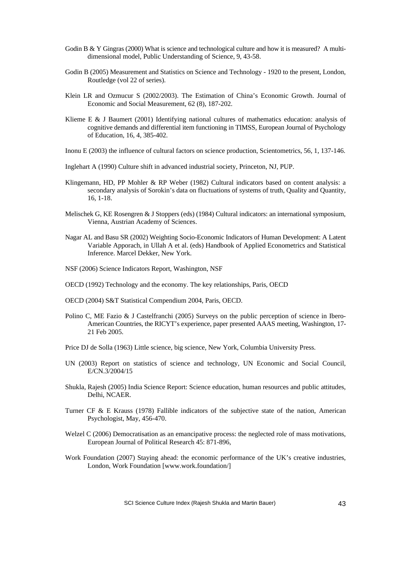- Godin B & Y Gingras (2000) What is science and technological culture and how it is measured? A multidimensional model, Public Understanding of Science, 9, 43-58.
- Godin B (2005) Measurement and Statistics on Science and Technology 1920 to the present, London, Routledge (vol 22 of series).
- Klein LR and Ozmucur S (2002/2003). The Estimation of China's Economic Growth. Journal of Economic and Social Measurement, 62 (8), 187-202.
- Klieme E & J Baumert (2001) Identifying national cultures of mathematics education: analysis of cognitive demands and differential item functioning in TIMSS, European Journal of Psychology of Education, 16, 4, 385-402.
- Inonu E (2003) the influence of cultural factors on science production, Scientometrics, 56, 1, 137-146.
- Inglehart A (1990) Culture shift in advanced industrial society, Princeton, NJ, PUP.
- Klingemann, HD, PP Mohler & RP Weber (1982) Cultural indicators based on content analysis: a secondary analysis of Sorokin's data on fluctuations of systems of truth, Quality and Quantity, 16, 1-18.
- Melischek G, KE Rosengren & J Stoppers (eds) (1984) Cultural indicators: an international symposium, Vienna, Austrian Academy of Sciences.
- Nagar AL and Basu SR (2002) Weighting Socio-Economic Indicators of Human Development: A Latent Variable Apporach, in Ullah A et al. (eds) Handbook of Applied Econometrics and Statistical Inference. Marcel Dekker, New York.
- NSF (2006) Science Indicators Report, Washington, NSF
- OECD (1992) Technology and the economy. The key relationships, Paris, OECD
- OECD (2004) S&T Statistical Compendium 2004, Paris, OECD.
- Polino C, ME Fazio & J Castelfranchi (2005) Surveys on the public perception of science in Ibero-American Countries, the RICYT's experience, paper presented AAAS meeting, Washington, 17- 21 Feb 2005.
- Price DJ de Solla (1963) Little science, big science, New York, Columbia University Press.
- UN (2003) Report on statistics of science and technology, UN Economic and Social Council, E/CN.3/2004/15
- Shukla, Rajesh (2005) India Science Report: Science education, human resources and public attitudes, Delhi, NCAER.
- Turner CF & E Krauss (1978) Fallible indicators of the subjective state of the nation, American Psychologist, May, 456-470.
- Welzel C (2006) Democratisation as an emancipative process: the neglected role of mass motivations, European Journal of Political Research 45: 871-896,
- Work Foundation (2007) Staying ahead: the economic performance of the UK's creative industries, London, Work Foundation [www.work.foundation/]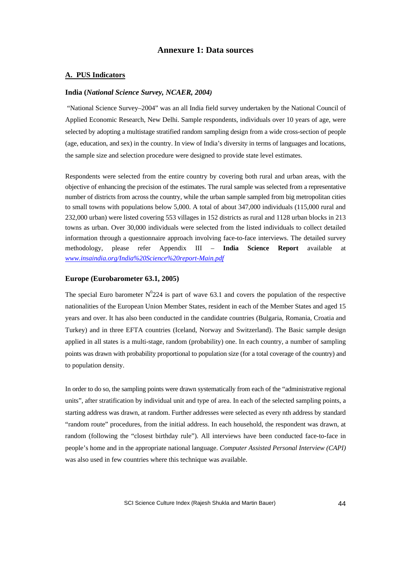## **Annexure 1: Data sources**

#### **A. PUS Indicators**

#### **India (***National Science Survey, NCAER, 2004)*

 "National Science Survey–2004" was an all India field survey undertaken by the National Council of Applied Economic Research, New Delhi. Sample respondents, individuals over 10 years of age, were selected by adopting a multistage stratified random sampling design from a wide cross-section of people (age, education, and sex) in the country. In view of India's diversity in terms of languages and locations, the sample size and selection procedure were designed to provide state level estimates.

Respondents were selected from the entire country by covering both rural and urban areas, with the objective of enhancing the precision of the estimates. The rural sample was selected from a representative number of districts from across the country, while the urban sample sampled from big metropolitan cities to small towns with populations below 5,000. A total of about 347,000 individuals (115,000 rural and 232,000 urban) were listed covering 553 villages in 152 districts as rural and 1128 urban blocks in 213 towns as urban. Over 30,000 individuals were selected from the listed individuals to collect detailed information through a questionnaire approach involving face-to-face interviews. The detailed survey methodology, please refer Appendix III – **India Science Report** available at *www.insaindia.org/India%20Science%20report-Main.pdf*

#### **Europe (Eurobarometer 63.1, 2005)**

The special Euro barometer  $N^0$ 224 is part of wave 63.1 and covers the population of the respective nationalities of the European Union Member States, resident in each of the Member States and aged 15 years and over. It has also been conducted in the candidate countries (Bulgaria, Romania, Croatia and Turkey) and in three EFTA countries (Iceland, Norway and Switzerland). The Basic sample design applied in all states is a multi-stage, random (probability) one. In each country, a number of sampling points was drawn with probability proportional to population size (for a total coverage of the country) and to population density.

In order to do so, the sampling points were drawn systematically from each of the "administrative regional units", after stratification by individual unit and type of area. In each of the selected sampling points, a starting address was drawn, at random. Further addresses were selected as every nth address by standard "random route" procedures, from the initial address. In each household, the respondent was drawn, at random (following the "closest birthday rule"). All interviews have been conducted face-to-face in people's home and in the appropriate national language. *Computer Assisted Personal Interview (CAPI)* was also used in few countries where this technique was available.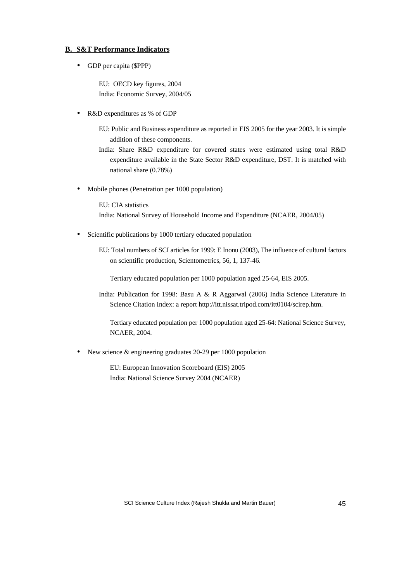### **B. S&T Performance Indicators**

• GDP per capita (\$PPP)

EU: OECD key figures, 2004 India: Economic Survey, 2004/05

• R&D expenditures as % of GDP

EU: Public and Business expenditure as reported in EIS 2005 for the year 2003. It is simple addition of these components.

India: Share R&D expenditure for covered states were estimated using total R&D expenditure available in the State Sector R&D expenditure, DST. It is matched with national share (0.78%)

• Mobile phones (Penetration per 1000 population)

EU: CIA statistics India: National Survey of Household Income and Expenditure (NCAER, 2004/05)

Scientific publications by 1000 tertiary educated population

EU: Total numbers of SCI articles for 1999: E Inonu (2003), The influence of cultural factors on scientific production, Scientometrics, 56, 1, 137-46.

Tertiary educated population per 1000 population aged 25-64, EIS 2005.

India: Publication for 1998: Basu A & R Aggarwal (2006) India Science Literature in Science Citation Index: a report http://itt.nissat.tripod.com/itt0104/scirep.htm.

Tertiary educated population per 1000 population aged 25-64: National Science Survey, NCAER, 2004.

• New science & engineering graduates 20-29 per 1000 population

EU: European Innovation Scoreboard (EIS) 2005 India: National Science Survey 2004 (NCAER)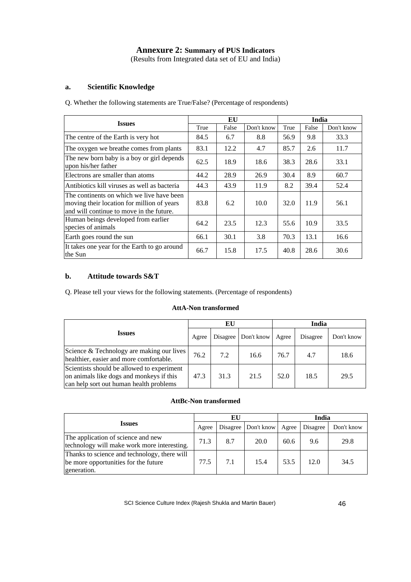# **Annexure 2: Summary of PUS Indicators**

(Results from Integrated data set of EU and India)

### **a. Scientific Knowledge**

Q. Whether the following statements are True/False? (Percentage of respondents)

|                                                                                                                                     |      |       | India      |      |       |            |
|-------------------------------------------------------------------------------------------------------------------------------------|------|-------|------------|------|-------|------------|
| <b>Issues</b>                                                                                                                       | True | False | Don't know | True | False | Don't know |
| The centre of the Earth is very hot                                                                                                 | 84.5 | 6.7   | 8.8        | 56.9 | 9.8   | 33.3       |
| The oxygen we breathe comes from plants                                                                                             | 83.1 | 12.2  | 4.7        | 85.7 | 2.6   | 11.7       |
| The new born baby is a boy or girl depends<br>upon his/her father                                                                   | 62.5 | 18.9  | 18.6       | 38.3 | 28.6  | 33.1       |
| Electrons are smaller than atoms                                                                                                    | 44.2 | 28.9  | 26.9       | 30.4 | 8.9   | 60.7       |
| Antibiotics kill viruses as well as bacteria                                                                                        | 44.3 | 43.9  | 11.9       | 8.2  | 39.4  | 52.4       |
| The continents on which we live have been<br>moving their location for million of years<br>and will continue to move in the future. | 83.8 | 6.2   | 10.0       | 32.0 | 11.9  | 56.1       |
| Human beings developed from earlier<br>species of animals                                                                           | 64.2 | 23.5  | 12.3       | 55.6 | 10.9  | 33.5       |
| Earth goes round the sun                                                                                                            | 66.1 | 30.1  | 3.8        | 70.3 | 13.1  | 16.6       |
| It takes one year for the Earth to go around<br>the Sun                                                                             | 66.7 | 15.8  | 17.5       | 40.8 | 28.6  | 30.6       |

# **b. Attitude towards S&T**

Q. Please tell your views for the following statements. (Percentage of respondents)

# **AttA-Non transformed**

|                                                                                                                                   |       | ЕU   |                       |       | India    |            |  |
|-----------------------------------------------------------------------------------------------------------------------------------|-------|------|-----------------------|-------|----------|------------|--|
| <b>Issues</b>                                                                                                                     | Agree |      | Disagree   Don't know | Agree | Disagree | Don't know |  |
| Science & Technology are making our lives<br>healthier, easier and more comfortable.                                              | 76.2  | 7.2  | 16.6                  | 76.7  | 4.7      | 18.6       |  |
| Scientists should be allowed to experiment<br>on animals like dogs and monkeys if this<br>can help sort out human health problems | 47.3  | 31.3 | 21.5                  | 52.0  | 18.5     | 29.5       |  |

### **AttBc-Non transformed**

|                                                                                                     |       | EU       |            |       | India    |            |  |
|-----------------------------------------------------------------------------------------------------|-------|----------|------------|-------|----------|------------|--|
| <i><u><b>Issues</b></u></i>                                                                         | Agree | Disagree | Don't know | Agree | Disagree | Don't know |  |
| The application of science and new<br>technology will make work more interesting.                   | 71.3  | 8.7      | 20.0       | 60.6  | 9.6      | 29.8       |  |
| Thanks to science and technology, there will<br>be more opportunities for the future<br>generation. | 77.5  | 7.1      | 15.4       | 53.5  | 12.0     | 34.5       |  |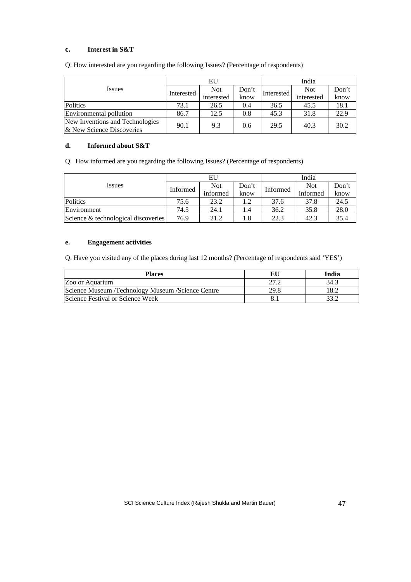# **c. Interest in S&T**

|                                                              |            | EU         |       | India      |            |       |  |
|--------------------------------------------------------------|------------|------------|-------|------------|------------|-------|--|
| Issues                                                       | Interested | <b>Not</b> | Don't | Interested | <b>Not</b> | Don't |  |
|                                                              |            | interested | know  |            | interested | know  |  |
| Politics                                                     | 73.1       | 26.5       | 0.4   | 36.5       | 45.5       | 18.1  |  |
| Environmental pollution                                      | 86.7       | 12.5       | 0.8   | 45.3       | 31.8       | 22.9  |  |
| New Inventions and Technologies<br>& New Science Discoveries | 90.1       | 9.3        | 0.6   | 29.5       | 40.3       | 30.2  |  |

Q. How interested are you regarding the following Issues? (Percentage of respondents)

### **d. Informed about S&T**

Q. How informed are you regarding the following Issues? (Percentage of respondents)

|                                     |          | EU         |       | India    |            |       |  |
|-------------------------------------|----------|------------|-------|----------|------------|-------|--|
| Issues                              | Informed | <b>Not</b> | Don't | Informed | <b>Not</b> | Don't |  |
|                                     |          | informed   | know  |          | informed   | know  |  |
| Politics                            | 75.6     | 23.2       |       | 37.6     | 37.8       | 24.5  |  |
| Environment                         | 74.5     | 24.1       | 1.4   | 36.2     | 35.8       | 28.0  |  |
| Science & technological discoveries | 76.9     | 21.2       |       | 22.3     | 42.3       | 35.4  |  |

#### **e. Engagement activities**

Q. Have you visited any of the places during last 12 months? (Percentage of respondents said 'YES')

| <b>Places</b>                                     |      | India |
|---------------------------------------------------|------|-------|
| Zoo or Aquarium                                   |      | 34.3  |
| Science Museum /Technology Museum /Science Centre | 29.8 |       |
| Science Festival or Science Week                  |      |       |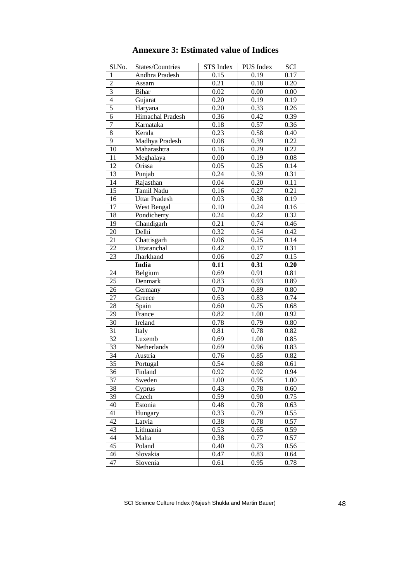| Sl.No.         | States/Countries     | STS Index | PUS Index | SCI  |
|----------------|----------------------|-----------|-----------|------|
| $\mathbf{1}$   | Andhra Pradesh       | 0.15      | 0.19      | 0.17 |
| $\overline{c}$ | Assam                | 0.21      | 0.18      | 0.20 |
| $\mathfrak{Z}$ | Bihar                | 0.02      | 0.00      | 0.00 |
| $\overline{4}$ | Gujarat              | 0.20      | 0.19      | 0.19 |
| 5              | Haryana              | 0.20      | 0.33      | 0.26 |
| 6              | Himachal Pradesh     | 0.36      | 0.42      | 0.39 |
| $\overline{7}$ | Karnataka            | 0.18      | 0.57      | 0.36 |
| 8              | Kerala               | 0.23      | 0.58      | 0.40 |
| 9              | Madhya Pradesh       | 0.08      | 0.39      | 0.22 |
| 10             | Maharashtra          | 0.16      | 0.29      | 0.22 |
| 11             | Meghalaya            | 0.00      | 0.19      | 0.08 |
| 12             | Orissa               | 0.05      | 0.25      | 0.14 |
| 13             | Punjab               | 0.24      | 0.39      | 0.31 |
| 14             | Rajasthan            | 0.04      | 0.20      | 0.11 |
| 15             | Tamil Nadu           | 0.16      | 0.27      | 0.21 |
| 16             | <b>Uttar Pradesh</b> | 0.03      | 0.38      | 0.19 |
| 17             | West Bengal          | 0.10      | 0.24      | 0.16 |
| 18             | Pondicherry          | 0.24      | 0.42      | 0.32 |
| 19             | Chandigarh           | 0.21      | 0.74      | 0.46 |
| 20             | Delhi                | 0.32      | 0.54      | 0.42 |
| 21             | Chattisgarh          | 0.06      | 0.25      | 0.14 |
| 22             | Uttaranchal          | 0.42      | 0.17      | 0.31 |
| 23             | Jharkhand            | 0.06      | 0.27      | 0.15 |
|                | India                | 0.11      | 0.31      | 0.20 |
| 24             | Belgium              | 0.69      | 0.91      | 0.81 |
| 25             | Denmark              | 0.83      | 0.93      | 0.89 |
| 26             | Germany              | 0.70      | 0.89      | 0.80 |
| 27             | Greece               | 0.63      | 0.83      | 0.74 |
| 28             | Spain                | 0.60      | 0.75      | 0.68 |
| 29             | France               | 0.82      | 1.00      | 0.92 |
| 30             | Ireland              | 0.78      | 0.79      | 0.80 |
| 31             | Italy                | 0.81      | 0.78      | 0.82 |
| 32             | Luxemb               | 0.69      | 1.00      | 0.85 |
| 33             | Netherlands          | 0.69      | 0.96      | 0.83 |
| 34             | Austria              | 0.76      | 0.85      | 0.82 |
| 35             | Portugal             | 0.54      | 0.68      | 0.61 |
| 36             | Finland              | 0.92      | 0.92      | 0.94 |
| 37             | Sweden               | 1.00      | 0.95      | 1.00 |
| 38             | Cyprus               | 0.43      | 0.78      | 0.60 |
| 39             | Czech                | 0.59      | 0.90      | 0.75 |
| 40             | Estonia              | 0.48      | $0.78\,$  | 0.63 |
| 41             | Hungary              | 0.33      | 0.79      | 0.55 |
| 42             | Latvia               | 0.38      | 0.78      | 0.57 |
| 43             | Lithuania            | 0.53      | 0.65      | 0.59 |
| 44             | Malta                | 0.38      | 0.77      | 0.57 |
| 45             | Poland               | 0.40      | 0.73      | 0.56 |
| 46             | Slovakia             | 0.47      | 0.83      | 0.64 |
| 47             | Slovenia             | 0.61      | 0.95      | 0.78 |

# **Annexure 3: Estimated value of Indices**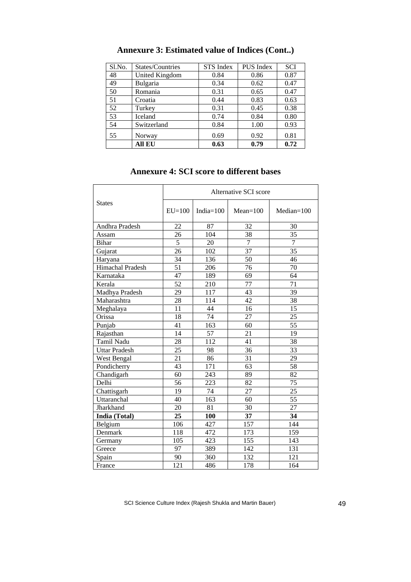| Sl.No. | States/Countries | <b>STS</b> Index | <b>PUS</b> Index | <b>SCI</b> |
|--------|------------------|------------------|------------------|------------|
| 48     | United Kingdom   | 0.84             | 0.86             | 0.87       |
| 49     | Bulgaria         | 0.34             | 0.62             | 0.47       |
| 50     | Romania          | 0.31             | 0.65             | 0.47       |
| 51     | Croatia          | 0.44             | 0.83             | 0.63       |
| 52     | Turkey           | 0.31             | 0.45             | 0.38       |
| 53     | Iceland          | 0.74             | 0.84             | 0.80       |
| 54     | Switzerland      | 0.84             | 1.00             | 0.93       |
| 55     | Norway           | 0.69             | 0.92             | 0.81       |
|        | All EU           | 0.63             | 0.79             | 0.72       |

# **Annexure 3: Estimated value of Indices (Cont..)**

# **Annexure 4: SCI score to different bases**

|                      | Alternative SCI score |              |                |                |  |  |
|----------------------|-----------------------|--------------|----------------|----------------|--|--|
| <b>States</b>        | $EU=100$              | India= $100$ | $Mean=100$     | $Median=100$   |  |  |
| Andhra Pradesh       | 22                    | 87           | 32             | 30             |  |  |
| Assam                | 26                    | 104          | 38             | 35             |  |  |
| <b>Bihar</b>         | 5                     | 20           | $\overline{7}$ | $\overline{7}$ |  |  |
| Gujarat              | 26                    | 102          | 37             | 35             |  |  |
| Haryana              | 34                    | 136          | 50             | 46             |  |  |
| Himachal Pradesh     | 51                    | 206          | 76             | 70             |  |  |
| Karnataka            | 47                    | 189          | 69             | 64             |  |  |
| Kerala               | 52                    | 210          | 77             | 71             |  |  |
| Madhya Pradesh       | 29                    | 117          | 43             | 39             |  |  |
| Maharashtra          | 28                    | 114          | 42             | 38             |  |  |
| Meghalaya            | 11                    | 44           | 16             | 15             |  |  |
| Orissa               | 18                    | 74           | 27             | 25             |  |  |
| Punjab               | 41                    | 163          | 60             | 55             |  |  |
| Rajasthan            | 14                    | 57           | 21             | 19             |  |  |
| Tamil Nadu           | 28                    | 112          | 41             | 38             |  |  |
| <b>Uttar Pradesh</b> | 25                    | 98           | 36             | 33             |  |  |
| West Bengal          | 21                    | 86           | 31             | 29             |  |  |
| Pondicherry          | 43                    | 171          | 63             | 58             |  |  |
| Chandigarh           | 60                    | 243          | 89             | 82             |  |  |
| Delhi                | 56                    | 223          | 82             | 75             |  |  |
| Chattisgarh          | 19                    | 74           | 27             | 25             |  |  |
| Uttaranchal          | 40                    | 163          | 60             | 55             |  |  |
| Jharkhand            | 20                    | 81           | 30             | 27             |  |  |
| India (Total)        | 25                    | 100          | 37             | 34             |  |  |
| Belgium              | 106                   | 427          | 157            | 144            |  |  |
| Denmark              | 118                   | 472          | 173            | 159            |  |  |
| Germany              | 105                   | 423          | 155            | 143            |  |  |
| Greece               | 97                    | 389          | 142            | 131            |  |  |
| Spain                | 90                    | 360          | 132            | 121            |  |  |
| France               | 121                   | 486          | 178            | 164            |  |  |